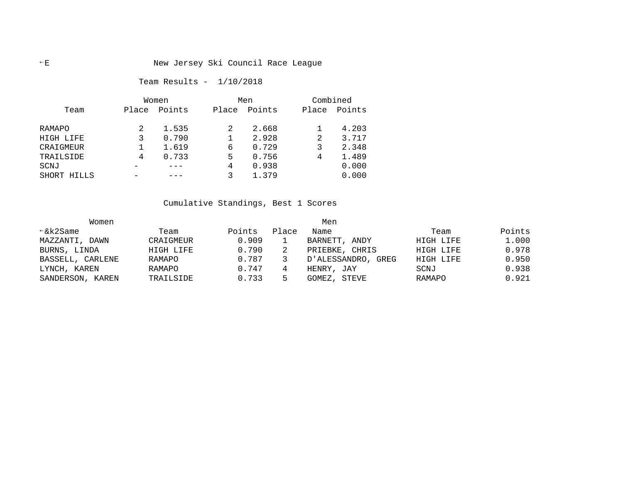# E New Jersey Ski Council Race League

## Team Results - 1/10/2018

|                |       | Women  |       | Men    | Combined |        |  |
|----------------|-------|--------|-------|--------|----------|--------|--|
| Team           | Place | Points | Place | Points | Place    | Points |  |
|                |       |        |       |        |          |        |  |
| RAMAPO         |       | 1.535  |       | 2.668  |          | 4.203  |  |
| HIGH LIFE      |       | 0.790  |       | 2.928  | 2        | 3.717  |  |
| CRAIGMEUR      |       | 1.619  | 6     | 0.729  |          | 2.348  |  |
| TRAILSIDE      | 4     | 0.733  | 5     | 0.756  | 4        | 1.489  |  |
| SCNJ           |       |        | 4     | 0.938  |          | 0.000  |  |
| SHORT<br>HILLS |       |        |       | 1.379  |          | 0.000  |  |

Cumulative Standings, Best 1 Scores

| Women            |           |        |       |                    |           |        |
|------------------|-----------|--------|-------|--------------------|-----------|--------|
| $\xi$ k2Same     | Team      | Points | Place | Name               | Team      | Points |
| MAZZANTI, DAWN   | CRAIGMEUR | 0.909  |       | BARNETT, ANDY      | HIGH LIFE | 1,000  |
| BURNS, LINDA     | HIGH LIFE | 0.790  |       | PRIEBKE, CHRIS     | HIGH LIFE | 0.978  |
| BASSELL, CARLENE | RAMAPO    | 0.787  |       | D'ALESSANDRO, GREG | HIGH LIFE | 0.950  |
| LYNCH, KAREN     | RAMAPO    | 0.747  |       | HENRY, JAY         | SCNJ      | 0.938  |
| SANDERSON, KAREN | TRAILSIDE | 0.733  |       | GOMEZ, STEVE       | RAMAPO    | 0.921  |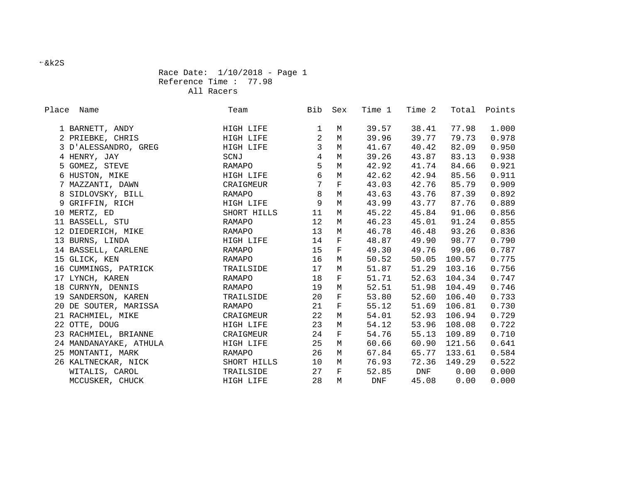## Race Date: 1/10/2018 - Page 1 Reference Time : 77.98 All Racers

| Place | Name                   | Team        | Bib               | Sex         | Time 1     | Time 2 |        | Total Points |
|-------|------------------------|-------------|-------------------|-------------|------------|--------|--------|--------------|
|       | 1 BARNETT, ANDY        | HIGH LIFE   | 1                 | М           | 39.57      | 38.41  | 77.98  | 1.000        |
|       | 2 PRIEBKE, CHRIS       | HIGH LIFE   | $\overline{2}$    | $M_{\odot}$ | 39.96      | 39.77  | 79.73  | 0.978        |
|       | 3 D'ALESSANDRO, GREG   | HIGH LIFE   | $\overline{3}$    | M           | 41.67      | 40.42  | 82.09  | 0.950        |
|       | 4 HENRY, JAY           | SCNJ        | $\overline{4}$    | M           | 39.26      | 43.87  | 83.13  | 0.938        |
|       | 5 GOMEZ, STEVE         | RAMAPO      | 5                 | $\mathbf M$ | 42.92      | 41.74  | 84.66  | 0.921        |
|       | 6 HUSTON, MIKE         | HIGH LIFE   | 6                 | M           | 42.62      | 42.94  | 85.56  | 0.911        |
|       | 7 MAZZANTI, DAWN       | CRAIGMEUR   | $7\overline{ }$   | F           | 43.03      | 42.76  | 85.79  | 0.909        |
|       | 8 SIDLOVSKY, BILL      | RAMAPO      | 8                 | M           | 43.63      | 43.76  | 87.39  | 0.892        |
|       | 9 GRIFFIN, RICH        | HIGH LIFE   | 9                 | M           | 43.99      | 43.77  | 87.76  | 0.889        |
|       | 10 MERTZ, ED           | SHORT HILLS | 11                | M           | 45.22      | 45.84  | 91.06  | 0.856        |
|       | 11 BASSELL, STU        | RAMAPO      | $12 \overline{ }$ | M           | 46.23      | 45.01  | 91.24  | 0.855        |
|       | 12 DIEDERICH, MIKE     | RAMAPO      | 13                | M           | 46.78      | 46.48  | 93.26  | 0.836        |
|       | 13 BURNS, LINDA        | HIGH LIFE   | 14                | $\mathbf F$ | 48.87      | 49.90  | 98.77  | 0.790        |
|       | 14 BASSELL, CARLENE    | RAMAPO      | 15                | $\mathbf F$ | 49.30      | 49.76  | 99.06  | 0.787        |
|       | 15 GLICK, KEN          | RAMAPO      | 16                | M           | 50.52      | 50.05  | 100.57 | 0.775        |
|       | 16 CUMMINGS, PATRICK   | TRAILSIDE   | 17                | М           | 51.87      | 51.29  | 103.16 | 0.756        |
|       | 17 LYNCH, KAREN        | RAMAPO      | 18                | $_{\rm F}$  | 51.71      | 52.63  | 104.34 | 0.747        |
|       | 18 CURNYN, DENNIS      | RAMAPO      | 19                | M           | 52.51      | 51.98  | 104.49 | 0.746        |
|       | 19 SANDERSON, KAREN    | TRAILSIDE   | 20                | $\mathbf F$ | 53.80      | 52.60  | 106.40 | 0.733        |
|       | 20 DE SOUTER, MARISSA  | RAMAPO      | 21                | $\mathbf F$ | 55.12      | 51.69  | 106.81 | 0.730        |
|       | 21 RACHMIEL, MIKE      | CRAIGMEUR   | 22                | M           | 54.01      | 52.93  | 106.94 | 0.729        |
|       | 22 OTTE, DOUG          | HIGH LIFE   | 23                | M           | 54.12      | 53.96  | 108.08 | 0.722        |
|       | 23 RACHMIEL, BRIANNE   | CRAIGMEUR   | 24                | $_{\rm F}$  | 54.76      | 55.13  | 109.89 | 0.710        |
|       | 24 MANDANAYAKE, ATHULA | HIGH LIFE   | 25                | M           | 60.66      | 60.90  | 121.56 | 0.641        |
|       | 25 MONTANTI, MARK      | RAMAPO      | 26                | M           | 67.84      | 65.77  | 133.61 | 0.584        |
|       | 26 KALTNECKAR, NICK    | SHORT HILLS | 10                | M           | 76.93      | 72.36  | 149.29 | 0.522        |
|       | WITALIS, CAROL         | TRAILSIDE   | 27                | $_{\rm F}$  | 52.85      | DNF    | 0.00   | 0.000        |
|       | MCCUSKER, CHUCK        | HIGH LIFE   | 28                | M           | <b>DNF</b> | 45.08  | 0.00   | 0.000        |

&k2S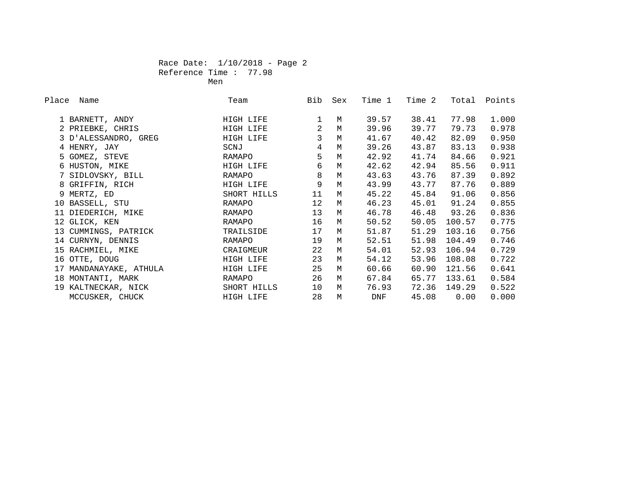## Race Date: 1/10/2018 - Page 2 Reference Time : 77.98 **Men** Mension of the state of the Mension of the Mension of the Mension of the Mension of the Mension of the Men

| Place Name             | Team        | Bib            | Sex         | Time 1 | Time 2 |        | Total Points |
|------------------------|-------------|----------------|-------------|--------|--------|--------|--------------|
| 1 BARNETT, ANDY        | HIGH LIFE   |                | M           | 39.57  | 38.41  | 77.98  | 1.000        |
| 2 PRIEBKE, CHRIS       | HIGH LIFE   | $\overline{2}$ | M           | 39.96  | 39.77  | 79.73  | 0.978        |
| 3 D'ALESSANDRO, GREG   | HIGH LIFE   | $\mathbf{3}$   | M           | 41.67  | 40.42  | 82.09  | 0.950        |
| 4 HENRY, JAY           | SCNJ        | $\overline{4}$ | M           | 39.26  | 43.87  | 83.13  | 0.938        |
| 5 GOMEZ, STEVE         | RAMAPO      | 5              | $M_{\odot}$ | 42.92  | 41.74  | 84.66  | 0.921        |
| 6 HUSTON, MIKE         | HIGH LIFE   | 6              | M           | 42.62  | 42.94  | 85.56  | 0.911        |
| 7 SIDLOVSKY, BILL      | RAMAPO      | 8              | M           | 43.63  | 43.76  | 87.39  | 0.892        |
| 8 GRIFFIN, RICH        | HIGH LIFE   | 9              | M           | 43.99  | 43.77  | 87.76  | 0.889        |
| 9 MERTZ, ED            | SHORT HILLS | 11             | M           | 45.22  | 45.84  | 91.06  | 0.856        |
| 10 BASSELL, STU        | RAMAPO      | 12             | M           | 46.23  | 45.01  | 91.24  | 0.855        |
| 11 DIEDERICH, MIKE     | RAMAPO      | 13             | M           | 46.78  | 46.48  | 93.26  | 0.836        |
| 12 GLICK, KEN          | RAMAPO      | 16             | M           | 50.52  | 50.05  | 100.57 | 0.775        |
| 13 CUMMINGS, PATRICK   | TRAILSIDE   | 17             | M           | 51.87  | 51.29  | 103.16 | 0.756        |
| 14 CURNYN, DENNIS      | RAMAPO      | 19             | M           | 52.51  | 51.98  | 104.49 | 0.746        |
| 15 RACHMIEL, MIKE      | CRAIGMEUR   | 22             | M           | 54.01  | 52.93  | 106.94 | 0.729        |
| 16 OTTE, DOUG          | HIGH LIFE   | 23             | M           | 54.12  | 53.96  | 108.08 | 0.722        |
| 17 MANDANAYAKE, ATHULA | HIGH LIFE   | 25             | M           | 60.66  | 60.90  | 121.56 | 0.641        |
| 18 MONTANTI, MARK      | RAMAPO      | 26             | M           | 67.84  | 65.77  | 133.61 | 0.584        |
| 19 KALTNECKAR, NICK    | SHORT HILLS | 10             | M           | 76.93  | 72.36  | 149.29 | 0.522        |
| MCCUSKER, CHUCK        | HIGH LIFE   | 28             | M           | DNF    | 45.08  | 0.00   | 0.000        |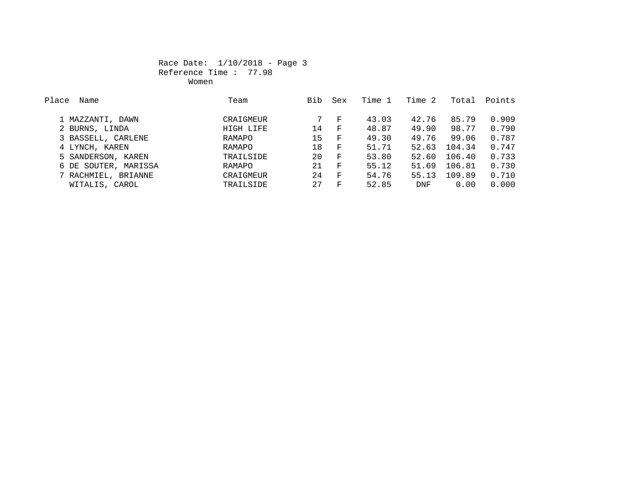## Race Date: 1/10/2018 - Page 3 Reference Time : 77.98 women women women women women women women women women women women women women women women women women women wo

| Place<br>Name        | Team      | Bib | Sex          | Time 1 | Time 2     | Total  | Points |
|----------------------|-----------|-----|--------------|--------|------------|--------|--------|
|                      |           |     |              |        |            |        |        |
| 1 MAZZANTI, DAWN     | CRAIGMEUR |     | F            | 43.03  | 42.76      | 85.79  | 0.909  |
| 2 BURNS, LINDA       | HIGH LIFE | 14  | $_{\rm F}$   | 48.87  | 49.90      | 98.77  | 0.790  |
| 3 BASSELL, CARLENE   | RAMAPO    | 15  | $\mathbf{F}$ | 49.30  | 49.76      | 99.06  | 0.787  |
| 4 LYNCH, KAREN       | RAMAPO    | 18  | $\mathbf{F}$ | 51.71  | 52.63      | 104.34 | 0.747  |
| 5 SANDERSON, KAREN   | TRAILSIDE | 20  | $\mathbf{F}$ | 53.80  | 52.60      | 106.40 | 0.733  |
| 6 DE SOUTER, MARISSA | RAMAPO    | 21  | $\mathbf{F}$ | 55.12  | 51.69      | 106.81 | 0.730  |
| 7 RACHMIEL, BRIANNE  | CRAIGMEUR | 24  | $\mathbf{F}$ | 54.76  | 55.13      | 109.89 | 0.710  |
| WITALIS, CAROL       | TRAILSIDE | 27  | $_{\rm F}$   | 52.85  | <b>DNF</b> | 0.00   | 0.000  |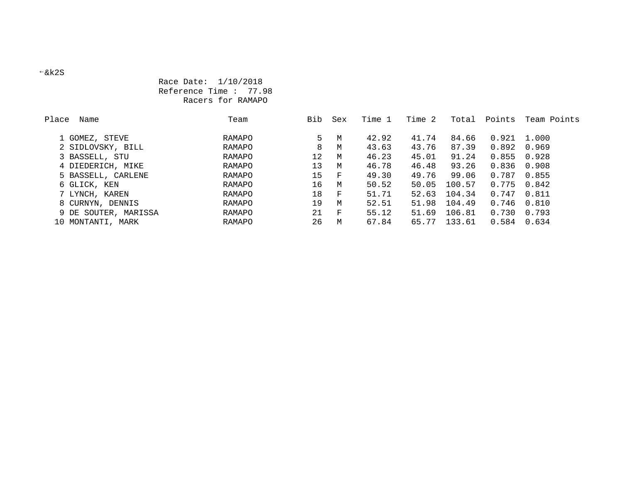## Race Date: 1/10/2018 Reference Time : 77.98 Racers for RAMAPO

| Place | Name                 | Team   | Bib | Sex        | Time 1 | Time 2 | Total  | Points | Team Points |
|-------|----------------------|--------|-----|------------|--------|--------|--------|--------|-------------|
|       |                      |        |     |            |        |        |        |        |             |
|       | 1 GOMEZ, STEVE       | RAMAPO | 5   | M          | 42.92  | 41.74  | 84.66  | 0.921  | 1.000       |
|       | 2 SIDLOVSKY, BILL    | RAMAPO | 8   | M          | 43.63  | 43.76  | 87.39  | 0.892  | 0.969       |
|       | 3 BASSELL, STU       | RAMAPO | 12  | M          | 46.23  | 45.01  | 91.24  | 0.855  | 0.928       |
|       | 4 DIEDERICH, MIKE    | RAMAPO | 13  | M          | 46.78  | 46.48  | 93.26  | 0.836  | 0.908       |
|       | 5 BASSELL, CARLENE   | RAMAPO | 15  | $_{\rm F}$ | 49.30  | 49.76  | 99.06  | 0.787  | 0.855       |
|       | 6 GLICK, KEN         | RAMAPO | 16  | M          | 50.52  | 50.05  | 100.57 | 0.775  | 0.842       |
|       | 7 LYNCH, KAREN       | RAMAPO | 18  | F          | 51.71  | 52.63  | 104.34 | 0.747  | 0.811       |
|       | 8 CURNYN, DENNIS     | RAMAPO | 19  | M          | 52.51  | 51.98  | 104.49 | 0.746  | 0.810       |
|       | 9 DE SOUTER, MARISSA | RAMAPO | 21  | F          | 55.12  | 51.69  | 106.81 | 0.730  | 0.793       |
|       | 10 MONTANTI, MARK    | RAMAPO | 26  | M          | 67.84  | 65.77  | 133.61 | 0.584  | 0.634       |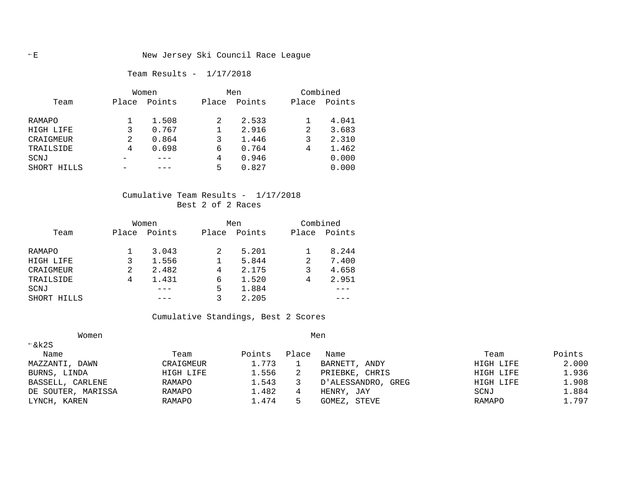## E New Jersey Ski Council Race League

Team Results - 1/17/2018

|               | Women |        |       | Men    | Combined |        |  |
|---------------|-------|--------|-------|--------|----------|--------|--|
| Team          | Place | Points | Place | Points | Place    | Points |  |
| <b>RAMAPO</b> |       | 1.508  |       | 2.533  |          | 4.041  |  |
| HIGH LIFE     | 3     | 0.767  |       | 2.916  | 2        | 3.683  |  |
| CRAIGMEUR     | 2     | 0.864  | 3     | 1.446  | 3        | 2.310  |  |
| TRAILSIDE     | 4     | 0.698  | 6     | 0.764  | 4        | 1.462  |  |
| SCNJ          |       |        | 4     | 0.946  |          | 0.000  |  |
| SHORT HILLS   |       |        | 5     | 0.827  |          | 0.000  |  |

#### Cumulative Team Results - 1/17/2018 Best 2 of 2 Races

|             | Women |        |       | Men    | Combined |        |  |
|-------------|-------|--------|-------|--------|----------|--------|--|
| Team        | Place | Points | Place | Points | Place    | Points |  |
| RAMAPO      |       | 3.043  | 2     | 5.201  |          | 8.244  |  |
| HIGH LIFE   | 3     | 1.556  |       | 5.844  | 2        | 7.400  |  |
| CRAIGMEUR   | 2     | 2.482  | 4     | 2.175  | 3        | 4.658  |  |
| TRAILSIDE   | 4     | 1.431  | 6     | 1.520  | 4        | 2.951  |  |
| SCNJ        |       |        | 5     | 1.884  |          |        |  |
| SHORT HILLS |       |        |       | 2.205  |          |        |  |

## Cumulative Standings, Best 2 Scores

| Women              |           |        |       |                       |           |        |
|--------------------|-----------|--------|-------|-----------------------|-----------|--------|
| $\xi$ k2S          |           |        |       |                       |           |        |
| Name               | Team      | Points | Place | Name                  | Team      | Points |
| MAZZANTI, DAWN     | CRAIGMEUR | 1.773  |       | BARNETT, ANDY         | HIGH LIFE | 2.000  |
| BURNS, LINDA       | HIGH LIFE | 1.556  | 2     | PRIEBKE, CHRIS        | HIGH LIFE | 1.936  |
| BASSELL, CARLENE   | RAMAPO    | 1.543  | 3     | D'ALESSANDRO,<br>GREG | HIGH LIFE | 1.908  |
| DE SOUTER, MARISSA | RAMAPO    | 1.482  | 4     | HENRY, JAY            | SCNJ      | 1.884  |
| LYNCH, KAREN       | RAMAPO    | 1.474  | 5     | GOMEZ, STEVE          | RAMAPO    | 1.797  |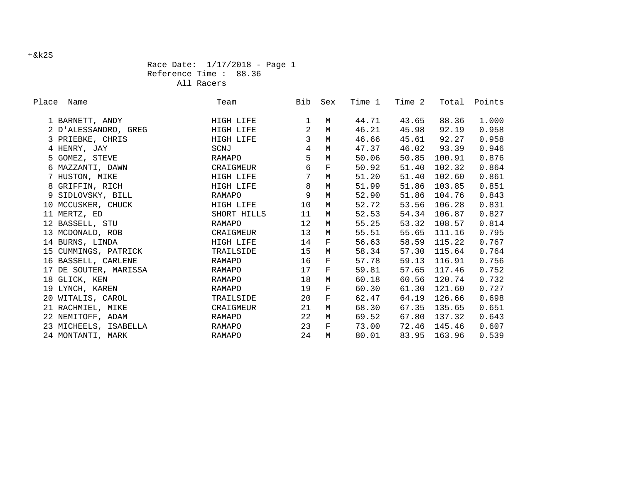## Race Date: 1/17/2018 - Page 1 Reference Time : 88.36 All Racers

| Place Name            | Team          | Bib             | Sex         | Time 1 | Time 2 |              | Total Points |
|-----------------------|---------------|-----------------|-------------|--------|--------|--------------|--------------|
| 1 BARNETT, ANDY       | HIGH LIFE     | $\mathbf{1}$    | M           | 44.71  | 43.65  | 88.36        | 1.000        |
| 2 D'ALESSANDRO, GREG  | HIGH LIFE     | 2               | M           | 46.21  | 45.98  | 92.19        | 0.958        |
| 3 PRIEBKE, CHRIS      | HIGH LIFE     | $\mathbf{3}$    | M           | 46.66  | 45.61  | 92.27        | 0.958        |
| 4 HENRY, JAY          | SCNJ          | $\overline{4}$  | M           | 47.37  | 46.02  | 93.39        | 0.946        |
| 5 GOMEZ, STEVE        | RAMAPO        | 5               | M           | 50.06  | 50.85  | 100.91       | 0.876        |
| 6 MAZZANTI, DAWN      | CRAIGMEUR     | 6               | $\mathbf F$ | 50.92  | 51.40  | 102.32       | 0.864        |
| 7 HUSTON, MIKE        | HIGH LIFE     | $7\overline{ }$ | $M_{\odot}$ | 51.20  | 51.40  | 102.60       | 0.861        |
| 8 GRIFFIN, RICH       | HIGH LIFE     | 8               | M           | 51.99  | 51.86  | 103.85       | 0.851        |
| 9 SIDLOVSKY, BILL     | RAMAPO        | 9               | M           | 52.90  | 51.86  | 104.76       | 0.843        |
| 10 MCCUSKER, CHUCK    | HIGH LIFE     | 10              | M           | 52.72  | 53.56  | 106.28       | 0.831        |
| 11 MERTZ, ED          | SHORT HILLS   | 11              | M           | 52.53  | 54.34  | 106.87       | 0.827        |
| 12 BASSELL, STU       | RAMAPO        | 12              | M           | 55.25  | 53.32  | 108.57       | 0.814        |
| 13 MCDONALD, ROB      | CRAIGMEUR     | 13              | M           | 55.51  | 55.65  | 111.16       | 0.795        |
| 14 BURNS, LINDA       | HIGH LIFE     | 14              | $\mathbf F$ | 56.63  |        | 58.59 115.22 | 0.767        |
| 15 CUMMINGS, PATRICK  | TRAILSIDE     | 15              | M           | 58.34  |        | 57.30 115.64 | 0.764        |
| 16 BASSELL, CARLENE   | RAMAPO        | 16              | $\mathbf F$ | 57.78  | 59.13  | 116.91       | 0.756        |
| 17 DE SOUTER, MARISSA | RAMAPO        | 17              | $\mathbf F$ | 59.81  |        | 57.65 117.46 | 0.752        |
| 18 GLICK, KEN         | RAMAPO        | 18              | M           | 60.18  | 60.56  | 120.74       | 0.732        |
| 19 LYNCH, KAREN       | RAMAPO        | 19              | $\mathbf F$ | 60.30  | 61.30  | 121.60       | 0.727        |
| 20 WITALIS, CAROL     | TRAILSIDE     | 20              | $\mathbf F$ | 62.47  | 64.19  | 126.66       | 0.698        |
| 21 RACHMIEL, MIKE     | CRAIGMEUR     | 21              | M           | 68.30  |        | 67.35 135.65 | 0.651        |
| 22 NEMITOFF, ADAM     | RAMAPO        | 22              | M           | 69.52  | 67.80  | 137.32       | 0.643        |
| 23 MICHEELS, ISABELLA | RAMAPO        | 23              | $\mathbf F$ | 73.00  |        | 72.46 145.46 | 0.607        |
| 24 MONTANTI, MARK     | <b>RAMAPO</b> | 24              | M           | 80.01  | 83.95  | 163.96       | 0.539        |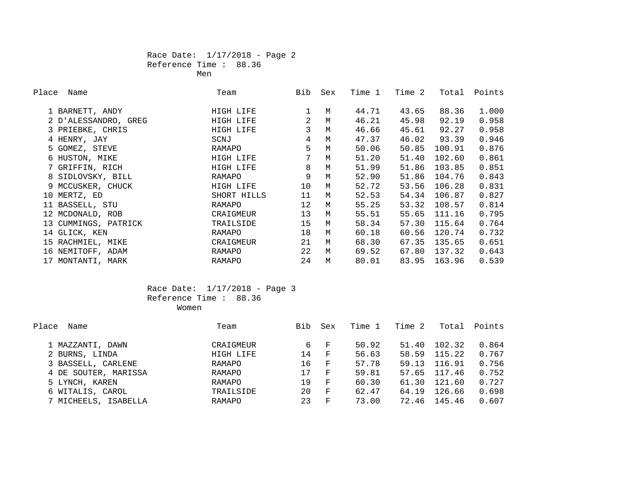## Race Date: 1/17/2018 - Page 2 Reference Time : 88.36

Men

| Place | Name                 | Team        | Bib | Sex | Time 1 | Time 2 | Total  | Points |
|-------|----------------------|-------------|-----|-----|--------|--------|--------|--------|
|       | 1 BARNETT, ANDY      | HIGH LIFE   |     | M   | 44.71  | 43.65  | 88.36  | 1.000  |
|       | 2 D'ALESSANDRO, GREG | HIGH LIFE   | 2   | M   | 46.21  | 45.98  | 92.19  | 0.958  |
|       | 3 PRIEBKE, CHRIS     | HIGH LIFE   | 3   | M   | 46.66  | 45.61  | 92.27  | 0.958  |
|       | 4 HENRY, JAY         | SCNJ        | 4   | M   | 47.37  | 46.02  | 93.39  | 0.946  |
|       | 5 GOMEZ, STEVE       | RAMAPO      | 5   | M   | 50.06  | 50.85  | 100.91 | 0.876  |
|       | 6 HUSTON, MIKE       | HIGH LIFE   | 7   | M   | 51.20  | 51.40  | 102.60 | 0.861  |
|       | 7 GRIFFIN, RICH      | HIGH LIFE   | 8   | M   | 51.99  | 51.86  | 103.85 | 0.851  |
|       | 8 SIDLOVSKY, BILL    | RAMAPO      | 9   | M   | 52.90  | 51.86  | 104.76 | 0.843  |
|       | 9 MCCUSKER, CHUCK    | HIGH LIFE   | 10  | M   | 52.72  | 53.56  | 106.28 | 0.831  |
|       | 10 MERTZ, ED         | SHORT HILLS | 11  | M   | 52.53  | 54.34  | 106.87 | 0.827  |
|       | 11 BASSELL, STU      | RAMAPO      | 12  | M   | 55.25  | 53.32  | 108.57 | 0.814  |
|       | 12 MCDONALD, ROB     | CRAIGMEUR   | 13  | M   | 55.51  | 55.65  | 111.16 | 0.795  |
|       | 13 CUMMINGS, PATRICK | TRAILSIDE   | 15  | M   | 58.34  | 57.30  | 115.64 | 0.764  |
|       | 14 GLICK, KEN        | RAMAPO      | 18  | M   | 60.18  | 60.56  | 120.74 | 0.732  |
|       | 15 RACHMIEL, MIKE    | CRAIGMEUR   | 21  | M   | 68.30  | 67.35  | 135.65 | 0.651  |
|       | 16 NEMITOFF, ADAM    | RAMAPO      | 22  | M   | 69.52  | 67.80  | 137.32 | 0.643  |
|       | 17 MONTANTI, MARK    | RAMAPO      | 24  | M   | 80.01  | 83.95  | 163.96 | 0.539  |

## Race Date: 1/17/2018 - Page 3 Reference Time : 88.36 women women women women women women women women women women women women women women women women women women wo

| Place<br>Name        | Team      | Bib | Sex          | Time 1 | Time 2 | Total  | Points |
|----------------------|-----------|-----|--------------|--------|--------|--------|--------|
|                      |           |     |              |        |        |        |        |
| 1 MAZZANTI, DAWN     | CRAIGMEUR | 6   | - F          | 50.92  | 51.40  | 102.32 | 0.864  |
| 2 BURNS, LINDA       | HIGH LIFE | 14  | $\mathbf{F}$ | 56.63  | 58.59  | 115.22 | 0.767  |
| 3 BASSELL, CARLENE   | RAMAPO    | 16  | $\mathbf{F}$ | 57.78  | 59.13  | 116.91 | 0.756  |
| 4 DE SOUTER, MARISSA | RAMAPO    | 17  | $\mathbf{F}$ | 59.81  | 57.65  | 117.46 | 0.752  |
| 5 LYNCH, KAREN       | RAMAPO    | 19  | $_{\rm F}$   | 60.30  | 61.30  | 121.60 | 0.727  |
| 6 WITALIS, CAROL     | TRAILSIDE | 20  | $\mathbf{F}$ | 62.47  | 64.19  | 126.66 | 0.698  |
| 7 MICHEELS, ISABELLA | RAMAPO    | 23  | F            | 73.00  | 72.46  | 145.46 | 0.607  |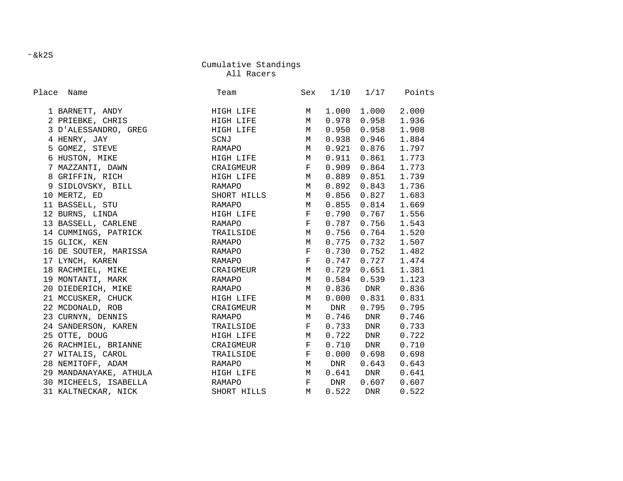All Racers

| Place Name             | Team                                                            |                       |       |                         | Sex 1/10 1/17 Points |
|------------------------|-----------------------------------------------------------------|-----------------------|-------|-------------------------|----------------------|
| 1 BARNETT, ANDY        | HIGH LIFE M                                                     |                       |       | 1.000 1.000             | 2.000                |
| 2 PRIEBKE, CHRIS       | HIGH LIFE M                                                     |                       |       | 0.978 0.958             | 1.936                |
| 3 D'ALESSANDRO, GREG   | HIGH LIFE M                                                     |                       | 0.950 | 0.958                   | 1.908                |
| 4 HENRY, JAY           | SCNJ                                                            | $M_{\odot}$           |       | 0.938 0.946             | 1.884                |
| 5 GOMEZ, STEVE         | RAMAPO                                                          | $M_{\odot}$           |       | $0.921$ $0.876$ 1.797   |                      |
| 6 HUSTON, MIKE         | HIGH LIFE M                                                     |                       |       | $0.911$ $0.861$ $1.773$ |                      |
| 7 MAZZANTI, DAWN       | CRAIGMEUR F                                                     |                       |       | $0.909$ $0.864$ 1.773   |                      |
| 8 GRIFFIN, RICH        | HIGH LIFE M                                                     |                       |       | $0.889$ $0.851$ 1.739   |                      |
| 9 SIDLOVSKY, BILL      | RAMAPO M                                                        |                       |       | $0.892$ $0.843$         | 1.736                |
| 10 MERTZ, ED           | SHORT HILLS M                                                   |                       |       | $0.856$ 0.827           | 1.683                |
| 11 BASSELL, STU        | RAMAPO                                                          | M                     |       | $0.855$ $0.814$         | 1.669                |
| 12 BURNS, LINDA        | HIGH LIFE                                                       | $\mathbb{F}^{\times}$ |       | $0.790$ 0.767           | 1.556                |
| 13 BASSELL, CARLENE    | $\mathbf{F}$ and the set of the set of $\mathbf{F}$ .<br>RAMAPO |                       |       | $0.787$ 0.756 1.543     |                      |
| 14 CUMMINGS, PATRICK   | TRAILSIDE M                                                     |                       |       | $0.756$ 0.764 1.520     |                      |
| 15 GLICK, KEN          | RAMAPO                                                          | M                     |       | $0.775$ 0.732 1.507     |                      |
| 16 DE SOUTER, MARISSA  | RAMAPO                                                          | $\mathbf{F}$          |       | $0.730$ $0.752$ $1.482$ |                      |
| 17 LYNCH, KAREN        | RAMAPO                                                          | F                     |       | $0.747$ $0.727$ 1.474   |                      |
| 18 RACHMIEL, MIKE      | CRAIGMEUR M                                                     |                       |       | $0.729$ $0.651$         | 1.381                |
| 19 MONTANTI, MARK      | RAMAPO                                                          | M                     |       | $0.584$ 0.539           | 1.123                |
| 20 DIEDERICH, MIKE     | RAMAPO                                                          | M                     |       | $0.836$ DNR             | 0.836                |
| 21 MCCUSKER, CHUCK     | HIGH LIFE M                                                     |                       |       | $0.000$ $0.831$         | 0.831                |
| 22 MCDONALD, ROB       | CRAIGMEUR M DNR                                                 |                       |       | 0.795                   | 0.795                |
| 23 CURNYN, DENNIS      | RAMAPO                                                          | M                     |       | 0.746 DNR               | 0.746                |
| 24 SANDERSON, KAREN    | TRAILSIDE                                                       | $\mathbf{F}$          |       | $0.733$ DNR             | 0.733                |
| 25 OTTE, DOUG          | HIGH LIFE M                                                     |                       |       | 0.722 DNR               | 0.722                |
| 26 RACHMIEL, BRIANNE   | CRAIGMEUR                                                       | F                     |       | 0.710 DNR               | 0.710                |
| 27 WITALIS, CAROL      | TRAILSIDE                                                       | $\mathbf{F}$          | 0.000 | 0.698                   | 0.698                |
| 28 NEMITOFF, ADAM      | RAMAPO                                                          | M                     | DNR   | 0.643                   | 0.643                |
| 29 MANDANAYAKE, ATHULA | HIGH LIFE M                                                     |                       |       | $0.641$ DNR             | 0.641                |
| 30 MICHEELS, ISABELLA  | RAMAPO F DNR 0.607                                              |                       |       |                         | 0.607                |
| 31 KALTNECKAR, NICK    | SHORT HILLS                                                     | M                     | 0.522 | <b>DNR</b>              | 0.522                |

 $-kk2S$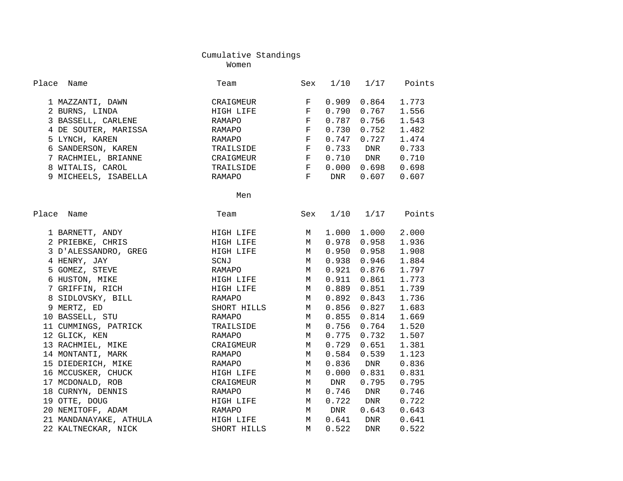Women

| Place<br>Name                                        | Team        | Sex                             | 1/10       | 1/17        | Points |
|------------------------------------------------------|-------------|---------------------------------|------------|-------------|--------|
|                                                      | CRAIGMEUR   | $\mathbf{F}$                    | 0.909      | 0.864       | 1.773  |
| 1 MAZZANTI, DAWN<br>2 BURNS, LINDA<br>2 BURNS, LINDA | HIGH LIFE   | F                               | 0.790      | 0.767       | 1.556  |
| 3 BASSELL, CARLENE                                   |             | F                               | 0.787      | 0.756       | 1.543  |
|                                                      | RAMAPO      |                                 |            |             |        |
| 4 DE SOUTER, MARISSA                                 | RAMAPO      | $\mathbf{F}$                    | 0.730      | 0.752       | 1.482  |
| 5 LYNCH, KAREN                                       | RAMAPO      | F                               | 0.747      | 0.727       | 1.474  |
| 6 SANDERSON, KAREN                                   | TRAILSIDE   | $\mathbf{F}$<br>$\mathbb{F}$    | 0.733      | <b>DNR</b>  | 0.733  |
| 7 RACHMIEL, BRIANNE                                  | CRAIGMEUR   | $\mathbf{F}$ . The $\mathbf{F}$ | 0.710      | <b>DNR</b>  | 0.710  |
| 8 WITALIS, CAROL                                     | TRAILSIDE   |                                 | 0.000      | 0.698       | 0.698  |
| 9 MICHEELS, ISABELLA                                 | RAMAPO      | $\mathbf{F}$                    | <b>DNR</b> | 0.607       | 0.607  |
|                                                      | Men         |                                 |            |             |        |
| Place<br>Name                                        | Team        | Sex                             | 1/10       | 1/17        | Points |
|                                                      |             |                                 |            |             | 2.000  |
| 1 BARNETT, ANDY                                      | HIGH LIFE   | M                               | 1.000      | 1.000       |        |
| 2 PRIEBKE, CHRIS                                     | HIGH LIFE   | M                               | 0.978      | 0.958       | 1.936  |
| 3 D'ALESSANDRO, GREG                                 | HIGH LIFE   | M                               | 0.950      | 0.958       | 1.908  |
| 4 HENRY, JAY                                         | SCNJ        | M                               | 0.938      | 0.946       | 1.884  |
| 5 GOMEZ, STEVE                                       | RAMAPO      | $M_{\odot}$                     | 0.921      | 0.876       | 1.797  |
| 6 HUSTON, MIKE                                       | HIGH LIFE   | M                               | 0.911      | 0.861       | 1.773  |
| 7 GRIFFIN, RICH                                      | HIGH LIFE   | М                               | 0.889      | 0.851       | 1.739  |
| 8 SIDLOVSKY, BILL                                    | RAMAPO      | M                               | 0.892      | 0.843       | 1.736  |
| 9 MERTZ, ED                                          | SHORT HILLS | M                               | 0.856      | 0.827       | 1.683  |
| 10 BASSELL, STU                                      | RAMAPO      | M                               | 0.855      | 0.814       | 1.669  |
| 11 CUMMINGS, PATRICK                                 | TRAILSIDE   | M                               | 0.756      | 0.764       | 1.520  |
| 12 GLICK, KEN                                        | RAMAPO      | М                               | 0.775      | 0.732       | 1.507  |
| 13 RACHMIEL, MIKE                                    | CRAIGMEUR   | M                               | 0.729      | 0.651       | 1.381  |
| 14 MONTANTI, MARK                                    | RAMAPO      | M                               | 0.584      | 0.539       | 1.123  |
| 15 DIEDERICH, MIKE                                   | RAMAPO      | M                               | 0.836      | DNR         | 0.836  |
| 16 MCCUSKER, CHUCK                                   | HIGH LIFE   | M                               | 0.000      | 0.831       | 0.831  |
| 17 MCDONALD, ROB                                     | CRAIGMEUR   | М                               | DNR        | 0.795       | 0.795  |
| 18 CURNYN, DENNIS                                    | RAMAPO      | М                               | 0.746      | DNR         | 0.746  |
| 19 OTTE, DOUG                                        | HIGH LIFE   | М                               | 0.722      | DNR         | 0.722  |
| 20 NEMITOFF, ADAM                                    | RAMAPO      | M                               | DNR        | 0.643       | 0.643  |
| 21 MANDANAYAKE, ATHULA                               | HIGH LIFE   | М                               |            | $0.641$ DNR | 0.641  |
| 22 KALTNECKAR, NICK                                  | SHORT HILLS | M                               | 0.522      | DNR         | 0.522  |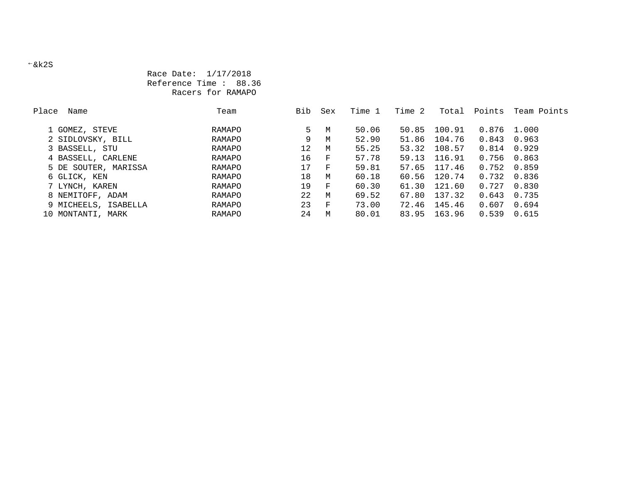## Race Date: 1/17/2018 Reference Time : 88.36 Racers for RAMAPO

| Place | Name                 | Team   | Bib | Sex | Time 1 | Time 2 | Total  | Points      | Team Points |
|-------|----------------------|--------|-----|-----|--------|--------|--------|-------------|-------------|
|       |                      |        |     |     |        |        |        |             |             |
|       | 1 GOMEZ, STEVE       | RAMAPO | 5.  | M   | 50.06  | 50.85  | 100.91 | 0.876 1.000 |             |
|       | 2 SIDLOVSKY, BILL    | RAMAPO | 9   | M   | 52.90  | 51.86  | 104.76 | 0.843       | 0.963       |
|       | 3 BASSELL, STU       | RAMAPO | 12  | M   | 55.25  | 53.32  | 108.57 | 0.814       | 0.929       |
|       | 4 BASSELL, CARLENE   | RAMAPO | 16  | F   | 57.78  | 59.13  | 116.91 | 0.756       | 0.863       |
|       | 5 DE SOUTER, MARISSA | RAMAPO | 17  | F   | 59.81  | 57.65  | 117.46 | 0.752       | 0.859       |
|       | 6 GLICK, KEN         | RAMAPO | 18  | M   | 60.18  | 60.56  | 120.74 | 0.732       | 0.836       |
|       | 7 LYNCH, KAREN       | RAMAPO | 19  | F   | 60.30  | 61.30  | 121.60 | 0.727       | 0.830       |
|       | 8 NEMITOFF, ADAM     | RAMAPO | 22  | M   | 69.52  | 67.80  | 137.32 | 0.643       | 0.735       |
|       | 9 MICHEELS, ISABELLA | RAMAPO | 23  | F   | 73.00  | 72.46  | 145.46 | 0.607       | 0.694       |
|       | 10 MONTANTI, MARK    | RAMAPO | 24  | M   | 80.01  | 83.95  | 163.96 | 0.539       | 0.615       |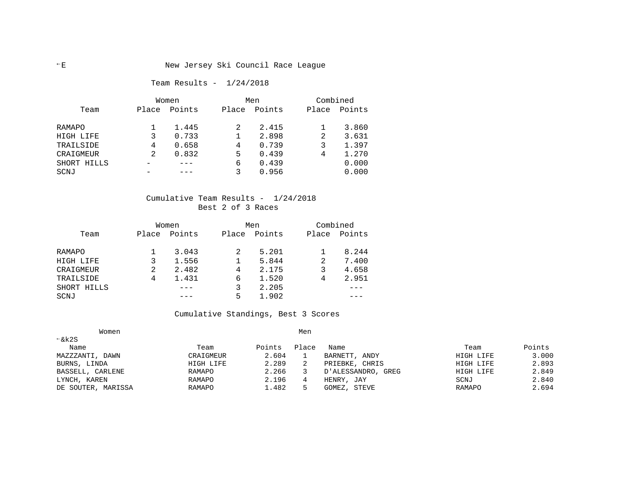#### Team Results - 1/24/2018

|             |       | Women  | Men   |        |       | Combined |
|-------------|-------|--------|-------|--------|-------|----------|
| Team        | Place | Points | Place | Points | Place | Points   |
| RAMAPO      |       | 1.445  |       | 2.415  |       | 3.860    |
| HIGH LIFE   |       | 0.733  |       | 2.898  | 2     | 3.631    |
| TRAILSIDE   | 4     | 0.658  | 4     | 0.739  |       | 1.397    |
| CRAIGMEUR   | 2     | 0.832  | 5     | 0.439  | 4     | 1.270    |
| SHORT HILLS |       |        | 6     | 0.439  |       | 0.000    |
| SCNJ        |       |        |       | 0.956  |       | 0.000    |

#### Cumulative Team Results - 1/24/2018 Best 2 of 3 Races

|             |       | Women  | Men   |        | Combined |        |
|-------------|-------|--------|-------|--------|----------|--------|
| Team        | Place | Points | Place | Points | Place    | Points |
| RAMAPO      |       | 3.043  | 2     | 5.201  |          | 8.244  |
| HIGH LIFE   |       | 1.556  |       | 5.844  | 2        | 7.400  |
| CRAIGMEUR   | 2     | 2.482  | 4     | 2.175  |          | 4.658  |
| TRAILSIDE   | 4     | 1.431  | 6     | 1.520  | 4        | 2.951  |
| SHORT HILLS |       |        |       | 2.205  |          |        |
| SCNJ        |       |        | 5     | 1.902  |          |        |

## Cumulative Standings, Best 3 Scores

| Women              |           |        | Men   |                       |               |        |
|--------------------|-----------|--------|-------|-----------------------|---------------|--------|
| $\xi$ k2S          |           |        |       |                       |               |        |
| Name               | Team      | Points | Place | Name                  | Team          | Points |
| MAZZZANTI, DAWN    | CRAIGMEUR | 2.604  |       | BARNETT,<br>ANDY      | HIGH LIFE     | 3.000  |
| BURNS, LINDA       | HIGH LIFE | 2.289  |       | PRIEBKE, CHRIS        | HIGH LIFE     | 2.893  |
| BASSELL, CARLENE   | RAMAPO    | 2.266  |       | D'ALESSANDRO,<br>GREG | HIGH LIFE     | 2.849  |
| LYNCH, KAREN       | RAMAPO    | 2.196  |       | HENRY, JAY            | SCNJ          | 2.840  |
| DE SOUTER, MARISSA | RAMAPO    | 1.482  |       | STEVE<br>GOMEZ,       | <b>RAMAPO</b> | 2.694  |
|                    |           |        |       |                       |               |        |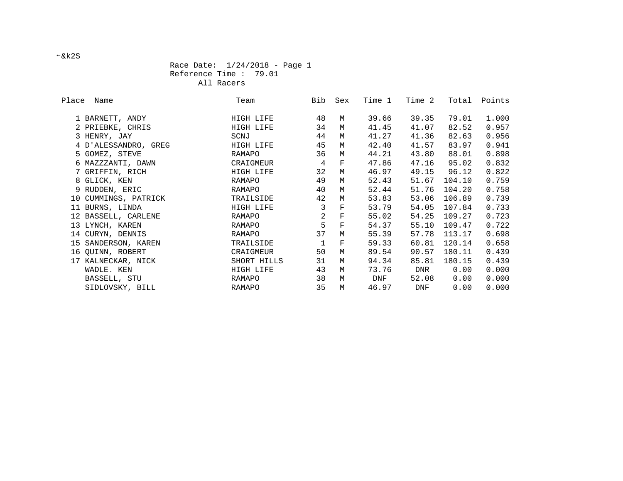Race Date: 1/24/2018 - Page 1 Reference Time : 79.01 All Racers

| Place Name           | Team        | Bib            | Sex                | Time 1 | Time 2 | Total  | Points |
|----------------------|-------------|----------------|--------------------|--------|--------|--------|--------|
| 1 BARNETT, ANDY      | HIGH LIFE   | 48             | М                  | 39.66  | 39.35  | 79.01  | 1.000  |
| 2 PRIEBKE, CHRIS     | HIGH LIFE   | 34             | M                  | 41.45  | 41.07  | 82.52  | 0.957  |
| 3 HENRY, JAY         | SCNJ        | 44             | М                  | 41.27  | 41.36  | 82.63  | 0.956  |
| 4 D'ALESSANDRO, GREG | HIGH LIFE   | 45             | М                  | 42.40  | 41.57  | 83.97  | 0.941  |
|                      |             | 36             | M                  | 44.21  | 43.80  | 88.01  |        |
| 5 GOMEZ, STEVE       | RAMAPO      |                |                    |        |        |        | 0.898  |
| 6 MAZZZANTI, DAWN    | CRAIGMEUR   | $\overline{4}$ | $\mathbf F$        | 47.86  | 47.16  | 95.02  | 0.832  |
| 7 GRIFFIN, RICH      | HIGH LIFE   | 32             | М                  | 46.97  | 49.15  | 96.12  | 0.822  |
| 8 GLICK, KEN         | RAMAPO      | 49             | М                  | 52.43  | 51.67  | 104.10 | 0.759  |
| 9 RUDDEN, ERIC       | RAMAPO      | 40             | М                  | 52.44  | 51.76  | 104.20 | 0.758  |
| 10 CUMMINGS, PATRICK | TRAILSIDE   | 42             | M                  | 53.83  | 53.06  | 106.89 | 0.739  |
| 11 BURNS, LINDA      | HIGH LIFE   | 3              | $\mathbf F$        | 53.79  | 54.05  | 107.84 | 0.733  |
| 12 BASSELL, CARLENE  | RAMAPO      | $\overline{a}$ | $\mathbf F$        | 55.02  | 54.25  | 109.27 | 0.723  |
| 13 LYNCH, KAREN      | RAMAPO      | 5              | $\mathbf F$        | 54.37  | 55.10  | 109.47 | 0.722  |
| 14 CURYN, DENNIS     | RAMAPO      | 37             | М                  | 55.39  | 57.78  | 113.17 | 0.698  |
| 15 SANDERSON, KAREN  | TRAILSIDE   |                | $\mathbf{F}% _{0}$ | 59.33  | 60.81  | 120.14 | 0.658  |
| 16 QUINN, ROBERT     | CRAIGMEUR   | 50             | М                  | 89.54  | 90.57  | 180.11 | 0.439  |
| 17 KALNECKAR, NICK   | SHORT HILLS | 31             | M                  | 94.34  | 85.81  | 180.15 | 0.439  |
| WADLE. KEN           | HIGH LIFE   | 43             | М                  | 73.76  | DNR    | 0.00   | 0.000  |
| BASSELL, STU         | RAMAPO      | 38             | M                  | DNF    | 52.08  | 0.00   | 0.000  |
| SIDLOVSKY, BILL      | RAMAPO      | 35             | M                  | 46.97  | DNF    | 0.00   | 0.000  |

&k2S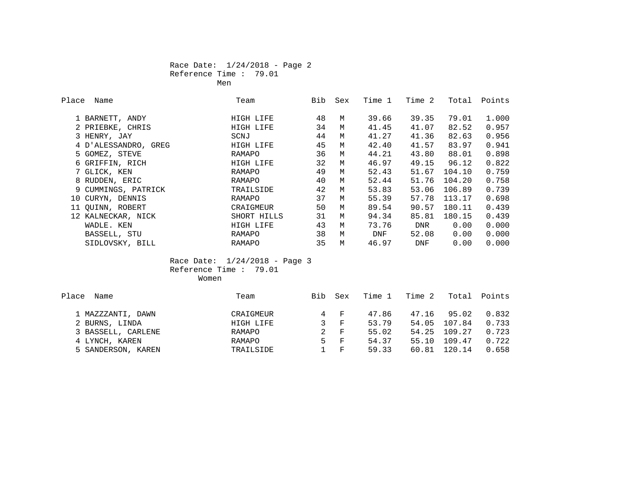#### Race Date: 1/24/2018 - Page 2 Reference Time : 79.01 **Men** Mension of the state of the state of the Mension of the Mension of the Second State of the Second State of the Second State of the Second State of the Second State of the Second State of the Second State of the Secon

| Place | Name                 | Team        | Bib | Sex | Time 1 | Time 2 | Total  | Points |
|-------|----------------------|-------------|-----|-----|--------|--------|--------|--------|
|       | 1 BARNETT, ANDY      | HIGH LIFE   | 48  | M   | 39.66  | 39.35  | 79.01  | 1.000  |
|       | 2 PRIEBKE, CHRIS     | HIGH LIFE   | 34  | М   | 41.45  | 41.07  | 82.52  | 0.957  |
|       | 3 HENRY, JAY         | SCNJ        | 44  | М   | 41.27  | 41.36  | 82.63  | 0.956  |
|       | 4 D'ALESSANDRO, GREG | HIGH LIFE   | 45  | M   | 42.40  | 41.57  | 83.97  | 0.941  |
|       | 5 GOMEZ, STEVE       | RAMAPO      | 36  | M   | 44.21  | 43.80  | 88.01  | 0.898  |
|       | 6 GRIFFIN, RICH      | HIGH LIFE   | 32  | M   | 46.97  | 49.15  | 96.12  | 0.822  |
|       | 7 GLICK, KEN         | RAMAPO      | 49  | M   | 52.43  | 51.67  | 104.10 | 0.759  |
|       | 8 RUDDEN, ERIC       | RAMAPO      | 40  | М   | 52.44  | 51.76  | 104.20 | 0.758  |
|       | 9 CUMMINGS, PATRICK  | TRAILSIDE   | 42  | M   | 53.83  | 53.06  | 106.89 | 0.739  |
|       | 10 CURYN, DENNIS     | RAMAPO      | 37  | М   | 55.39  | 57.78  | 113.17 | 0.698  |
|       | 11 QUINN, ROBERT     | CRAIGMEUR   | 50  | М   | 89.54  | 90.57  | 180.11 | 0.439  |
|       | 12 KALNECKAR, NICK   | SHORT HILLS | 31  | M   | 94.34  | 85.81  | 180.15 | 0.439  |
|       | WADLE. KEN           | HIGH LIFE   | 43  | M   | 73.76  | DNR    | 0.00   | 0.000  |
|       | BASSELL, STU         | RAMAPO      | 38  | M   | DNF    | 52.08  | 0.00   | 0.000  |
|       | SIDLOVSKY, BILL      | RAMAPO      | 35  | М   | 46.97  | DNF    | 0.00   | 0.000  |

 Race Date: 1/24/2018 - Page 3 Reference Time : 79.01

| Women<br>_____ |
|----------------|
|                |

| Place Name         | Team      | Bib | Sex           | Time 1 | Time 2 |              | Total Points |
|--------------------|-----------|-----|---------------|--------|--------|--------------|--------------|
| 1 MAZZZANTI, DAWN  | CRAIGMEUR |     | 4 F           | 47.86  | 47.16  | 95.02        | 0.832        |
| 2 BURNS, LINDA     | HIGH LIFE | 3   | $\mathbf{F}$  | 53.79  | 54.05  | 107.84       | 0.733        |
| 3 BASSELL, CARLENE | RAMAPO    |     | 2 F           | 55.02  |        | 54.25 109.27 | 0.723        |
| 4 LYNCH, KAREN     | RAMAPO    |     | $5 \text{ F}$ | 54.37  | 55.10  | 109.47       | 0.722        |
| 5 SANDERSON, KAREN | TRAILSIDE |     | $1 \quad F$   | 59.33  | 60.81  | 120.14       | 0.658        |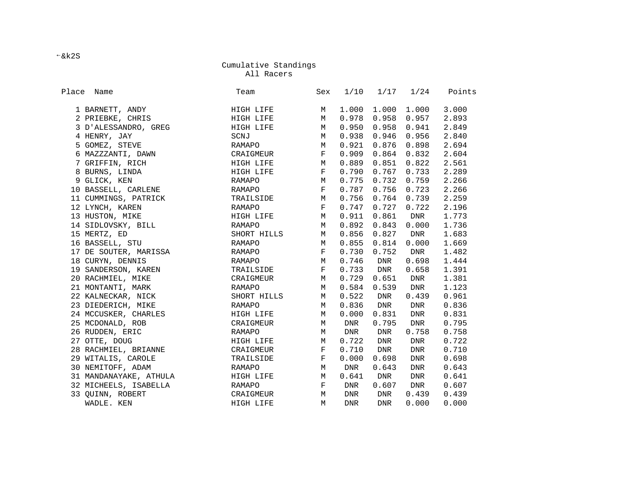All Racers

| Place<br>Name          | Team        | Sex          | 1/10       | 1/17       | 1/24  | Points |
|------------------------|-------------|--------------|------------|------------|-------|--------|
| 1 BARNETT, ANDY        | HIGH LIFE   | M            | 1.000      | 1.000      | 1.000 | 3.000  |
| 2 PRIEBKE, CHRIS       | HIGH LIFE   | М            | 0.978      | 0.958      | 0.957 | 2.893  |
| 3 D'ALESSANDRO, GREG   | HIGH LIFE   | М            | 0.950      | 0.958      | 0.941 | 2.849  |
| 4 HENRY, JAY           | SCNJ        | М            | 0.938      | 0.946      | 0.956 | 2.840  |
| 5 GOMEZ, STEVE         | RAMAPO      | М            | 0.921      | 0.876      | 0.898 | 2.694  |
| 6 MAZZZANTI, DAWN      | CRAIGMEUR   | F            | 0.909      | 0.864      | 0.832 | 2.604  |
| 7 GRIFFIN, RICH        | HIGH LIFE   | M            | 0.889      | 0.851      | 0.822 | 2.561  |
| 8 BURNS, LINDA         | HIGH LIFE   | F            | 0.790      | 0.767      | 0.733 | 2.289  |
| 9 GLICK, KEN           | RAMAPO      | М            | 0.775      | 0.732      | 0.759 | 2.266  |
| 10 BASSELL, CARLENE    | RAMAPO      | F            | 0.787      | 0.756      | 0.723 | 2.266  |
| 11 CUMMINGS, PATRICK   | TRAILSIDE   | М            | 0.756      | 0.764      | 0.739 | 2.259  |
| 12 LYNCH, KAREN        | RAMAPO      | F            | 0.747      | 0.727      | 0.722 | 2.196  |
| 13 HUSTON, MIKE        | HIGH LIFE   | М            | 0.911      | 0.861      | DNR   | 1.773  |
| 14 SIDLOVSKY, BILL     | RAMAPO      | M            | 0.892      | 0.843      | 0.000 | 1.736  |
| 15 MERTZ, ED           | SHORT HILLS | М            | 0.856      | 0.827      | DNR   | 1.683  |
| 16 BASSELL, STU        | RAMAPO      | М            | 0.855      | 0.814      | 0.000 | 1.669  |
| 17 DE SOUTER, MARISSA  | RAMAPO      | $\mathbf{F}$ | 0.730      | 0.752      | DNR   | 1.482  |
| 18 CURYN, DENNIS       | RAMAPO      | М            | 0.746      | DNR        | 0.698 | 1.444  |
| 19 SANDERSON, KAREN    | TRAILSIDE   | $\mathbf{F}$ | 0.733      | DNR        | 0.658 | 1.391  |
| 20 RACHMIEL, MIKE      | CRAIGMEUR   | М            | 0.729      | 0.651      | DNR   | 1.381  |
| 21 MONTANTI, MARK      | RAMAPO      | М            | 0.584      | 0.539      | DNR   | 1.123  |
| 22 KALNECKAR, NICK     | SHORT HILLS | M            | 0.522      | DNR        | 0.439 | 0.961  |
| 23 DIEDERICH, MIKE     | RAMAPO      | М            | 0.836      | DNR        | DNR   | 0.836  |
| 24 MCCUSKER, CHARLES   | HIGH LIFE   | М            | 0.000      | 0.831      | DNR   | 0.831  |
| 25 MCDONALD, ROB       | CRAIGMEUR   | М            | DNR        | 0.795      | DNR   | 0.795  |
| 26 RUDDEN, ERIC        | RAMAPO      | М            | DNR        | DNR        | 0.758 | 0.758  |
| 27 OTTE, DOUG          | HIGH LIFE   | M            | 0.722      | DNR        | DNR   | 0.722  |
| 28 RACHMIEL, BRIANNE   | CRAIGMEUR   | $\mathbf{F}$ | 0.710      | DNR        | DNR   | 0.710  |
| 29 WITALIS, CAROLE     | TRAILSIDE   | F            | 0.000      | 0.698      | DNR   | 0.698  |
| 30 NEMITOFF, ADAM      | RAMAPO      | M            | DNR        | 0.643      | DNR   | 0.643  |
| 31 MANDANAYAKE, ATHULA | HIGH LIFE   | М            | 0.641      | DNR        | DNR   | 0.641  |
| 32 MICHEELS, ISABELLA  | RAMAPO      | F            | DNR        | 0.607      | DNR   | 0.607  |
| 33 QUINN, ROBERT       | CRAIGMEUR   | М            | DNR        | DNR        | 0.439 | 0.439  |
| WADLE. KEN             | HIGH LIFE   | M            | <b>DNR</b> | <b>DNR</b> | 0.000 | 0.000  |

&k2S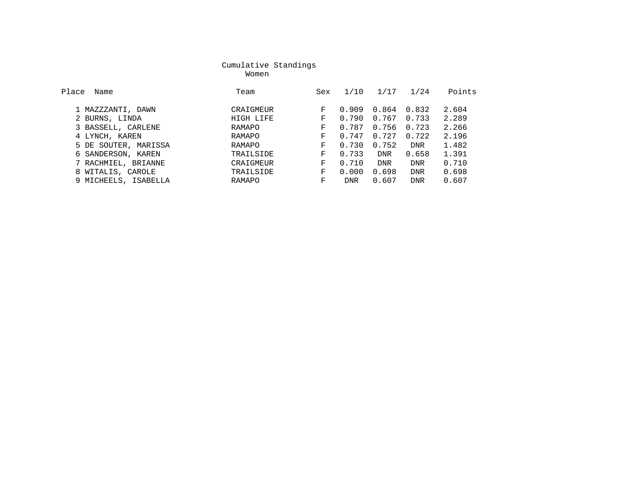women with the state of the Momen women with the state of the state of the state of the state of the state of the state of the state of the state of the state of the state of the state of the state of the state of the stat

| Place | Name                 | Team      | Sex | 1/10       | 1/17       | 1/24       | Points |
|-------|----------------------|-----------|-----|------------|------------|------------|--------|
|       |                      |           |     |            |            |            |        |
|       | 1 MAZZZANTI, DAWN    | CRAIGMEUR | F   | 0.909      | 0.864      | 0.832      | 2.604  |
|       | 2 BURNS, LINDA       | HIGH LIFE | F.  | 0.790      | 0.767      | 0.733      | 2.289  |
|       | 3 BASSELL, CARLENE   | RAMAPO    | F   | 0.787      | 0.756      | 0.723      | 2.266  |
|       | 4 LYNCH, KAREN       | RAMAPO    | F   | 0.747      | 0.727      | 0.722      | 2.196  |
|       | 5 DE SOUTER, MARISSA | RAMAPO    | F   | 0.730      | 0.752      | <b>DNR</b> | 1.482  |
|       | 6 SANDERSON, KAREN   | TRAILSIDE | F   | 0.733      | <b>DNR</b> | 0.658      | 1.391  |
|       | 7 RACHMIEL, BRIANNE  | CRAIGMEUR | F.  | 0.710      | <b>DNR</b> | <b>DNR</b> | 0.710  |
|       | 8 WITALIS, CAROLE    | TRAILSIDE | F   | 0.000      | 0.698      | <b>DNR</b> | 0.698  |
|       | 9 MICHEELS, ISABELLA | RAMAPO    | F   | <b>DNR</b> | 0.607      | <b>DNR</b> | 0.607  |
|       |                      |           |     |            |            |            |        |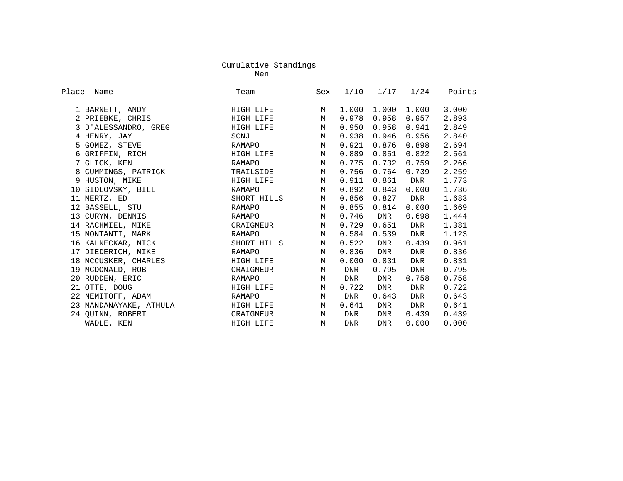ment of the control of the control of the control of the control of the control of the control of the control of the control of the control of the control of the control of the control of the control of the control of the

| Place<br>Name          | Team        | Sex | 1/10  | 1/17       | 1/24  | Points |
|------------------------|-------------|-----|-------|------------|-------|--------|
| 1 BARNETT, ANDY        | HIGH LIFE   | M   | 1.000 | 1.000      | 1.000 | 3.000  |
| 2 PRIEBKE, CHRIS       | HIGH LIFE   | M   | 0.978 | 0.958      | 0.957 | 2.893  |
| 3 D'ALESSANDRO, GREG   | HIGH LIFE   | M   | 0.950 | 0.958      | 0.941 | 2.849  |
| 4 HENRY, JAY           | SCNJ        | M   | 0.938 | 0.946      | 0.956 | 2.840  |
| 5 GOMEZ, STEVE         | RAMAPO      | М   | 0.921 | 0.876      | 0.898 | 2.694  |
| 6 GRIFFIN, RICH        | HIGH LIFE   | M   | 0.889 | 0.851      | 0.822 | 2.561  |
| 7 GLICK, KEN           | RAMAPO      | M   | 0.775 | 0.732      | 0.759 | 2.266  |
| 8 CUMMINGS, PATRICK    | TRAILSIDE   | M   | 0.756 | 0.764      | 0.739 | 2.259  |
| 9 HUSTON, MIKE         | HIGH LIFE   | M   | 0.911 | 0.861      | DNR   | 1.773  |
| 10 SIDLOVSKY, BILL     | RAMAPO      | M   | 0.892 | 0.843      | 0.000 | 1.736  |
| 11 MERTZ, ED           | SHORT HILLS | M   | 0.856 | 0.827      | DNR   | 1.683  |
| 12 BASSELL, STU        | RAMAPO      | M   | 0.855 | 0.814      | 0.000 | 1.669  |
| 13 CURYN, DENNIS       | RAMAPO      | M   | 0.746 | DNR        | 0.698 | 1.444  |
| 14 RACHMIEL, MIKE      | CRAIGMEUR   | M   | 0.729 | 0.651      | DNR   | 1.381  |
| 15 MONTANTI, MARK      | RAMAPO      | M   | 0.584 | 0.539      | DNR   | 1.123  |
| 16 KALNECKAR, NICK     | SHORT HILLS | M   | 0.522 | DNR        | 0.439 | 0.961  |
| 17 DIEDERICH, MIKE     | RAMAPO      | M   | 0.836 | DNR        | DNR   | 0.836  |
| 18 MCCUSKER, CHARLES   | HIGH LIFE   | M   | 0.000 | 0.831      | DNR   | 0.831  |
| 19 MCDONALD, ROB       | CRAIGMEUR   | M   | DNR   | 0.795      | DNR   | 0.795  |
| 20 RUDDEN, ERIC        | RAMAPO      | M   | DNR   | DNR        | 0.758 | 0.758  |
| 21 OTTE, DOUG          | HIGH LIFE   | M   | 0.722 | DNR        | DNR   | 0.722  |
| 22 NEMITOFF, ADAM      | RAMAPO      | M   | DNR   | 0.643      | DNR   | 0.643  |
| 23 MANDANAYAKE, ATHULA | HIGH LIFE   | М   | 0.641 | DNR        | DNR   | 0.641  |
| 24 QUINN, ROBERT       | CRAIGMEUR   | M   | DNR   | DNR        | 0.439 | 0.439  |
| WADLE. KEN             | HIGH LIFE   | M   | DNR   | <b>DNR</b> | 0.000 | 0.000  |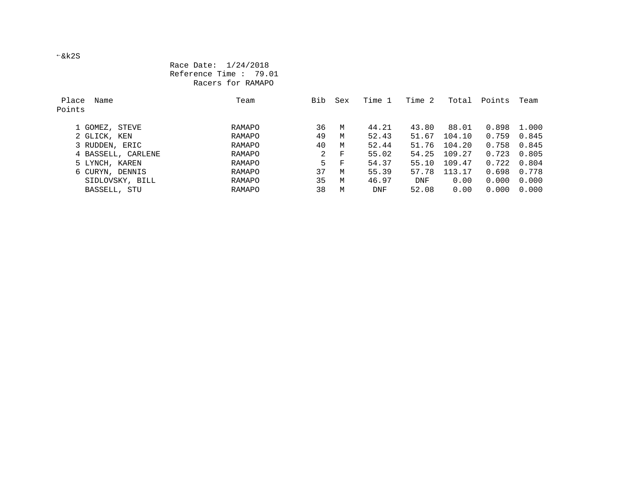&k2S

#### Race Date: 1/24/2018 Reference Time : 79.01 Racers for RAMAPO

| Place<br>Name<br>Points | Team   | Bib | Sex | Time 1 | Time 2 | Total  | Points | Team  |
|-------------------------|--------|-----|-----|--------|--------|--------|--------|-------|
| 1 GOMEZ, STEVE          | RAMAPO | 36  | M   | 44.21  | 43.80  | 88.01  | 0.898  | 1.000 |
| 2 GLICK, KEN            | RAMAPO | 49  | M   | 52.43  | 51.67  | 104.10 | 0.759  | 0.845 |
| 3 RUDDEN, ERIC          | RAMAPO | 40  | M   | 52.44  | 51.76  | 104.20 | 0.758  | 0.845 |
| 4 BASSELL, CARLENE      | RAMAPO | 2   | F   | 55.02  | 54.25  | 109.27 | 0.723  | 0.805 |
| 5 LYNCH, KAREN          | RAMAPO | 5.  | F   | 54.37  | 55.10  | 109.47 | 0.722  | 0.804 |
| 6 CURYN, DENNIS         | RAMAPO | 37  | M   | 55.39  | 57.78  | 113.17 | 0.698  | 0.778 |
| SIDLOVSKY, BILL         | RAMAPO | 35  | M   | 46.97  | DNF    | 0.00   | 0.000  | 0.000 |
| BASSELL, STU            | RAMAPO | 38  | M   | DNF    | 52.08  | 0.00   | 0.000  | 0.000 |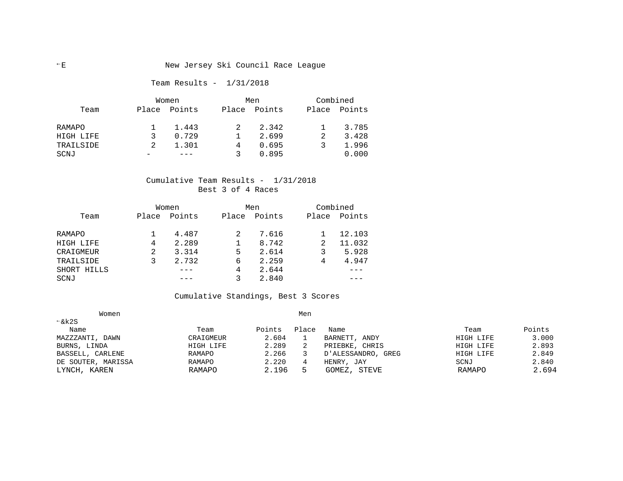#### E New Jersey Ski Council Race League

#### Team Results - 1/31/2018

|           | Women |        |       | Men    |       | Combined |  |  |
|-----------|-------|--------|-------|--------|-------|----------|--|--|
| Team      | Place | Points | Place | Points | Place | Points   |  |  |
| RAMAPO    |       | 1.443  |       | 2.342  |       | 3.785    |  |  |
| HIGH LIFE | ર     | 0.729  |       | 2.699  |       | 3.428    |  |  |
| TRAILSIDE |       | 1.301  | 4     | 0.695  |       | 1.996    |  |  |
| SCNJ      |       |        |       | 0.895  |       | 0.000    |  |  |

#### Cumulative Team Results - 1/31/2018 Best 3 of 4 Races

|             |       | Women  |       | Men    |       | Combined |
|-------------|-------|--------|-------|--------|-------|----------|
| Team        | Place | Points | Place | Points | Place | Points   |
| RAMAPO      |       | 4.487  |       | 7.616  |       | 12.103   |
| HIGH LIFE   | 4     | 2.289  |       | 8.742  | 2     | 11.032   |
| CRAIGMEUR   | 2     | 3.314  | 5     | 2.614  |       | 5.928    |
| TRAILSIDE   |       | 2.732  | 6     | 2.259  | 4     | 4.947    |
| SHORT HILLS |       |        | 4     | 2.644  |       |          |
| SCNJ        |       |        |       | 2.840  |       |          |

#### Cumulative Standings, Best 3 Scores

| Women              |           |        | Men   |                    |           |        |
|--------------------|-----------|--------|-------|--------------------|-----------|--------|
| $\xi$ k2S          |           |        |       |                    |           |        |
| Name               | Team      | Points | Place | Name               | Team      | Points |
| MAZZZANTI, DAWN    | CRAIGMEUR | 2.604  |       | BARNETT, ANDY      | HIGH LIFE | 3.000  |
| BURNS, LINDA       | HIGH LIFE | 2.289  |       | PRIEBKE, CHRIS     | HIGH LIFE | 2.893  |
| BASSELL, CARLENE   | RAMAPO    | 2.266  |       | D'ALESSANDRO, GREG | HIGH LIFE | 2.849  |
| DE SOUTER, MARISSA | RAMAPO    | 2.220  |       | HENRY, JAY         | SCNJ      | 2.840  |
| LYNCH, KAREN       | RAMAPO    | 2.196  |       | STEVE<br>GOMEZ,    | RAMAPO    | 2.694  |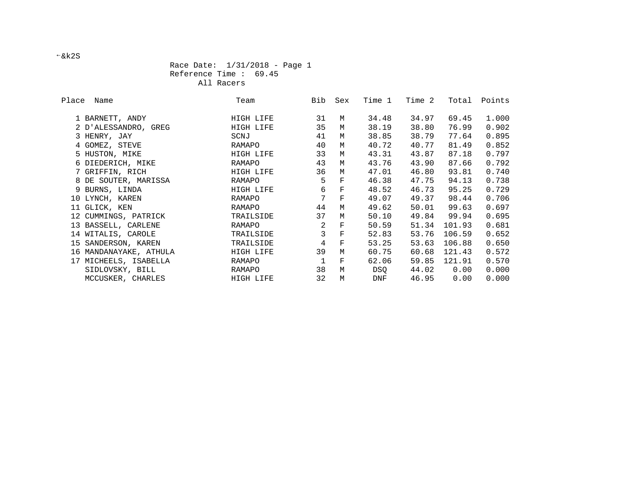Race Date: 1/31/2018 - Page 1 Reference Time : 69.45 All Racers

| Place Name             | Team      | Bib            | Sex                | Time 1 | Time 2 | Total  | Points |
|------------------------|-----------|----------------|--------------------|--------|--------|--------|--------|
| 1 BARNETT, ANDY        | HIGH LIFE | 31             | М                  | 34.48  | 34.97  | 69.45  | 1.000  |
| 2 D'ALESSANDRO, GREG   | HIGH LIFE | 35             | М                  | 38.19  | 38.80  | 76.99  | 0.902  |
| 3 HENRY, JAY           | SCNJ      | 41             | M                  | 38.85  | 38.79  | 77.64  | 0.895  |
| 4 GOMEZ, STEVE         | RAMAPO    | 40             | M                  | 40.72  | 40.77  | 81.49  | 0.852  |
| 5 HUSTON, MIKE         | HIGH LIFE | 33             | M                  | 43.31  | 43.87  | 87.18  | 0.797  |
| 6 DIEDERICH, MIKE      | RAMAPO    | 43             | M                  | 43.76  | 43.90  | 87.66  | 0.792  |
| 7 GRIFFIN, RICH        | HIGH LIFE | 36             | М                  | 47.01  | 46.80  | 93.81  | 0.740  |
| 8 DE SOUTER, MARISSA   | RAMAPO    | 5              | $\mathbf{F}$       | 46.38  | 47.75  | 94.13  | 0.738  |
| 9 BURNS, LINDA         | HIGH LIFE | 6              | $\mathbf F$        | 48.52  | 46.73  | 95.25  | 0.729  |
| 10 LYNCH, KAREN        | RAMAPO    | 7              | $\mathbf{F}% _{0}$ | 49.07  | 49.37  | 98.44  | 0.706  |
| 11 GLICK, KEN          | RAMAPO    | 44             | M                  | 49.62  | 50.01  | 99.63  | 0.697  |
| 12 CUMMINGS, PATRICK   | TRAILSIDE | 37             | M                  | 50.10  | 49.84  | 99.94  | 0.695  |
| 13 BASSELL, CARLENE    | RAMAPO    | 2              | F                  | 50.59  | 51.34  | 101.93 | 0.681  |
| 14 WITALIS, CAROLE     | TRAILSIDE | $\overline{3}$ | $\mathbf F$        | 52.83  | 53.76  | 106.59 | 0.652  |
| 15 SANDERSON, KAREN    | TRAILSIDE | $\overline{4}$ | $\mathbf F$        | 53.25  | 53.63  | 106.88 | 0.650  |
| 16 MANDANAYAKE, ATHULA | HIGH LIFE | 39             | M                  | 60.75  | 60.68  | 121.43 | 0.572  |
| 17 MICHEELS, ISABELLA  | RAMAPO    | $\mathbf{1}$   | F                  | 62.06  | 59.85  | 121.91 | 0.570  |
| SIDLOVSKY, BILL        | RAMAPO    | 38             | M                  | DSQ    | 44.02  | 0.00   | 0.000  |
| MCCUSKER, CHARLES      | HIGH LIFE | 32             | M                  | DNF    | 46.95  | 0.00   | 0.000  |

&k2S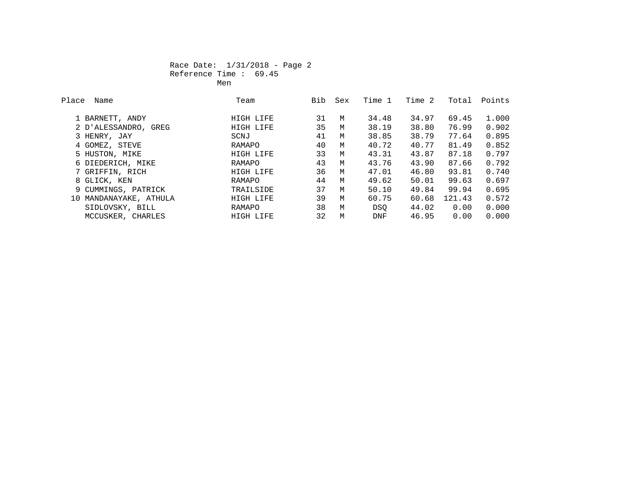#### Race Date: 1/31/2018 - Page 2 Reference Time : 69.45 **Men** Mension of the state of the state of the Mension of the Mension of the Second State of the Second State of the Second State of the Second State of the Second State of the Second State of the Second State of the Secon

| Place | Name                   | Team      | Bib | Sex | Time 1 | Time 2 | Total  | Points |
|-------|------------------------|-----------|-----|-----|--------|--------|--------|--------|
|       |                        |           |     |     |        |        |        |        |
|       | 1 BARNETT, ANDY        | HIGH LIFE | 31  | M   | 34.48  | 34.97  | 69.45  | 1,000  |
|       | 2 D'ALESSANDRO, GREG   | HIGH LIFE | 35  | M   | 38.19  | 38.80  | 76.99  | 0.902  |
|       | 3 HENRY, JAY           | SCNJ      | 41  | M   | 38.85  | 38.79  | 77.64  | 0.895  |
|       | 4 GOMEZ, STEVE         | RAMAPO    | 40  | M   | 40.72  | 40.77  | 81.49  | 0.852  |
|       | 5 HUSTON, MIKE         | HIGH LIFE | 33  | M   | 43.31  | 43.87  | 87.18  | 0.797  |
|       | 6 DIEDERICH, MIKE      | RAMAPO    | 43  | M   | 43.76  | 43.90  | 87.66  | 0.792  |
|       | 7 GRIFFIN, RICH        | HIGH LIFE | 36  | M   | 47.01  | 46.80  | 93.81  | 0.740  |
|       | 8 GLICK, KEN           | RAMAPO    | 44  | M   | 49.62  | 50.01  | 99.63  | 0.697  |
|       | 9 CUMMINGS, PATRICK    | TRAILSIDE | 37  | M   | 50.10  | 49.84  | 99.94  | 0.695  |
|       | 10 MANDANAYAKE, ATHULA | HIGH LIFE | 39  | M   | 60.75  | 60.68  | 121.43 | 0.572  |
|       | SIDLOVSKY, BILL        | RAMAPO    | 38  | M   | DSO    | 44.02  | 0.00   | 0.000  |
|       | MCCUSKER, CHARLES      | HIGH LIFE | 32  | M   | DNF    | 46.95  | 0.00   | 0.000  |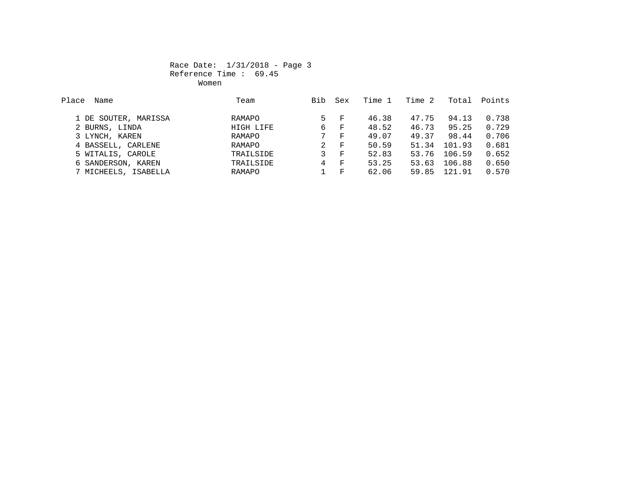#### Race Date: 1/31/2018 - Page 3 Reference Time : 69.45 women when we have a state of the Women women when the state of the state of the state of the state of the state of the state of the state of the state of the state of the state of the state of the state of the state of th

| Place<br>Name        | Team      | Bib | Sex          | Time 1 | Time 2 | Total  | Points |
|----------------------|-----------|-----|--------------|--------|--------|--------|--------|
|                      |           |     |              |        |        |        |        |
| 1 DE SOUTER, MARISSA | RAMAPO    | 5.  | – F          | 46.38  | 47.75  | 94.13  | 0.738  |
| 2 BURNS, LINDA       | HIGH LIFE | 6   | $\mathbf{F}$ | 48.52  | 46.73  | 95.25  | 0.729  |
| 3 LYNCH, KAREN       | RAMAPO    | 7   | F            | 49.07  | 49.37  | 98.44  | 0.706  |
| 4 BASSELL, CARLENE   | RAMAPO    | 2   | F            | 50.59  | 51.34  | 101.93 | 0.681  |
| 5 WITALIS, CAROLE    | TRAILSIDE | 3   | F            | 52.83  | 53.76  | 106.59 | 0.652  |
| 6 SANDERSON, KAREN   | TRAILSIDE | 4   | $\mathbf{F}$ | 53.25  | 53.63  | 106.88 | 0.650  |
| 7 MICHEELS, ISABELLA | RAMAPO    |     | $_{\rm F}$   | 62.06  | 59.85  | 121.91 | 0.570  |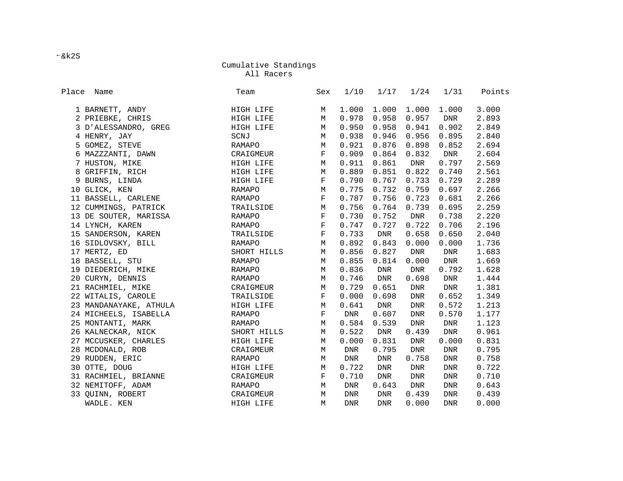All Racers

| Place Name             | Team          | Sex         | 1/10       | 1/17  | 1/24       | 1/31       | Points |
|------------------------|---------------|-------------|------------|-------|------------|------------|--------|
| 1 BARNETT, ANDY        | HIGH LIFE     | М           | 1.000      | 1.000 | 1.000      | 1.000      | 3.000  |
| 2 PRIEBKE, CHRIS       | HIGH LIFE     | М           | 0.978      | 0.958 | 0.957      | DNR        | 2.893  |
| 3 D'ALESSANDRO, GREG   | HIGH LIFE     | М           | 0.950      | 0.958 | 0.941      | 0.902      | 2.849  |
| 4 HENRY, JAY           | SCNJ          | М           | 0.938      | 0.946 | 0.956      | 0.895      | 2.840  |
| 5 GOMEZ, STEVE         | RAMAPO        | М           | 0.921      | 0.876 | 0.898      | 0.852      | 2.694  |
| 6 MAZZZANTI, DAWN      | CRAIGMEUR     | $\mathbf F$ | 0.909      | 0.864 | 0.832      | DNR        | 2.604  |
| 7 HUSTON, MIKE         | HIGH LIFE     | М           | 0.911      | 0.861 | DNR        | 0.797      | 2.569  |
| 8 GRIFFIN, RICH        | HIGH LIFE     | М           | 0.889      | 0.851 | 0.822      | 0.740      | 2.561  |
| 9 BURNS, LINDA         | HIGH LIFE     | $\mathbf F$ | 0.790      | 0.767 | 0.733      | 0.729      | 2.289  |
| 10 GLICK, KEN          | RAMAPO        | М           | 0.775      | 0.732 | 0.759      | 0.697      | 2.266  |
| 11 BASSELL, CARLENE    | RAMAPO        | $\mathbf F$ | 0.787      | 0.756 | 0.723      | 0.681      | 2.266  |
| 12 CUMMINGS, PATRICK   | TRAILSIDE     | М           | 0.756      | 0.764 | 0.739      | 0.695      | 2.259  |
| 13 DE SOUTER, MARISSA  | RAMAPO        | $\mathbf F$ | 0.730      | 0.752 | DNR        | 0.738      | 2.220  |
| 14 LYNCH, KAREN        | <b>RAMAPO</b> | $\mathbf F$ | 0.747      | 0.727 | 0.722      | 0.706      | 2.196  |
| 15 SANDERSON, KAREN    | TRAILSIDE     | $\mathbf F$ | 0.733      | DNR   | 0.658      | 0.650      | 2.040  |
| 16 SIDLOVSKY, BILL     | <b>RAMAPO</b> | М           | 0.892      | 0.843 | 0.000      | 0.000      | 1.736  |
| 17 MERTZ, ED           | SHORT HILLS   | М           | 0.856      | 0.827 | DNR        | DNR        | 1.683  |
| 18 BASSELL, STU        | RAMAPO        | М           | 0.855      | 0.814 | 0.000      | DNR        | 1.669  |
| 19 DIEDERICH, MIKE     | RAMAPO        | M           | 0.836      | DNR   | DNR        | 0.792      | 1.628  |
| 20 CURYN, DENNIS       | RAMAPO        | М           | 0.746      | DNR   | 0.698      | DNR        | 1.444  |
| 21 RACHMIEL, MIKE      | CRAIGMEUR     | M           | 0.729      | 0.651 | DNR        | DNR        | 1.381  |
| 22 WITALIS, CAROLE     | TRAILSIDE     | $\mathbf F$ | 0.000      | 0.698 | DNR        | 0.652      | 1.349  |
| 23 MANDANAYAKE, ATHULA | HIGH LIFE     | М           | 0.641      | DNR   | <b>DNR</b> | 0.572      | 1.213  |
| 24 MICHEELS, ISABELLA  | RAMAPO        | $\mathbf F$ | DNR        | 0.607 | <b>DNR</b> | 0.570      | 1.177  |
| 25 MONTANTI, MARK      | RAMAPO        | М           | 0.584      | 0.539 | <b>DNR</b> | DNR        | 1.123  |
| 26 KALNECKAR, NICK     | SHORT HILLS   | M           | 0.522      | DNR   | 0.439      | <b>DNR</b> | 0.961  |
| 27 MCCUSKER, CHARLES   | HIGH LIFE     | М           | 0.000      | 0.831 | DNR        | 0.000      | 0.831  |
| 28 MCDONALD, ROB       | CRAIGMEUR     | M           | DNR        | 0.795 | DNR        | DNR        | 0.795  |
| 29 RUDDEN, ERIC        | RAMAPO        | М           | DNR        | DNR   | 0.758      | DNR        | 0.758  |
| 30 OTTE, DOUG          | HIGH LIFE     | M           | 0.722      | DNR   | DNR        | DNR        | 0.722  |
| 31 RACHMIEL, BRIANNE   | CRAIGMEUR     | $\mathbf F$ | 0.710      | DNR   | DNR        | DNR        | 0.710  |
| 32 NEMITOFF, ADAM      | RAMAPO        | М           | DNR        | 0.643 | DNR        | DNR        | 0.643  |
| 33 QUINN, ROBERT       | CRAIGMEUR     | М           | <b>DNR</b> | DNR   | 0.439      | DNR        | 0.439  |
| WADLE. KEN             | HIGH LIFE     | M           | <b>DNR</b> | DNR   | 0.000      | <b>DNR</b> | 0.000  |

&k2S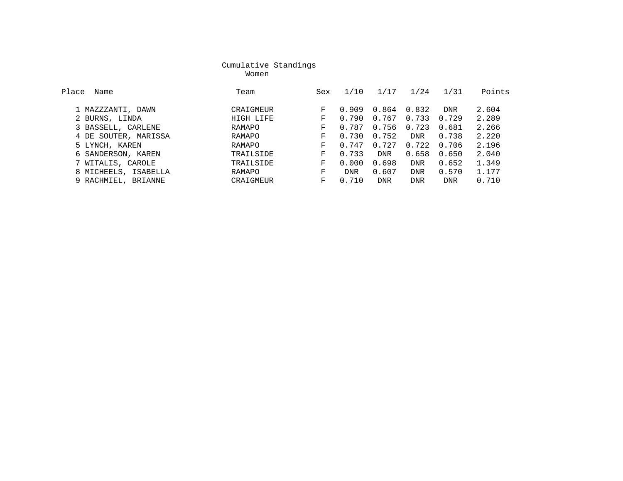women with the state of the Momen women with the state of the state of the state of the state of the state of the state of the state of the state of the state of the state of the state of the state of the state of the stat

| Place<br>Name        | Team      | Sex | 1/10       | 1/17       | 1/24       | 1/31       | Points |
|----------------------|-----------|-----|------------|------------|------------|------------|--------|
| 1 MAZZZANTI, DAWN    | CRAIGMEUR | F   | 0.909      | 0.864      | 0.832      | <b>DNR</b> | 2.604  |
| 2 BURNS, LINDA       | HIGH LIFE | F   | 0.790      | 0.767      | 0.733      | 0.729      | 2.289  |
| 3 BASSELL, CARLENE   | RAMAPO    | F   | 0.787      | 0.756      | 0.723      | 0.681      | 2.266  |
| 4 DE SOUTER, MARISSA | RAMAPO    | F   | 0.730      | 0.752      | <b>DNR</b> | 0.738      | 2.220  |
| 5 LYNCH, KAREN       | RAMAPO    | F   | 0.747      | 0.727      | 0.722      | 0.706      | 2.196  |
| 6 SANDERSON, KAREN   | TRAILSIDE | F   | 0.733      | <b>DNR</b> | 0.658      | 0.650      | 2.040  |
| 7 WITALIS, CAROLE    | TRAILSIDE | F   | 0.000      | 0.698      | <b>DNR</b> | 0.652      | 1.349  |
| 8 MICHEELS, ISABELLA | RAMAPO    | F   | <b>DNR</b> | 0.607      | <b>DNR</b> | 0.570      | 1.177  |
| 9 RACHMIEL, BRIANNE  | CRAIGMEUR | F   | 0.710      | <b>DNR</b> | <b>DNR</b> | <b>DNR</b> | 0.710  |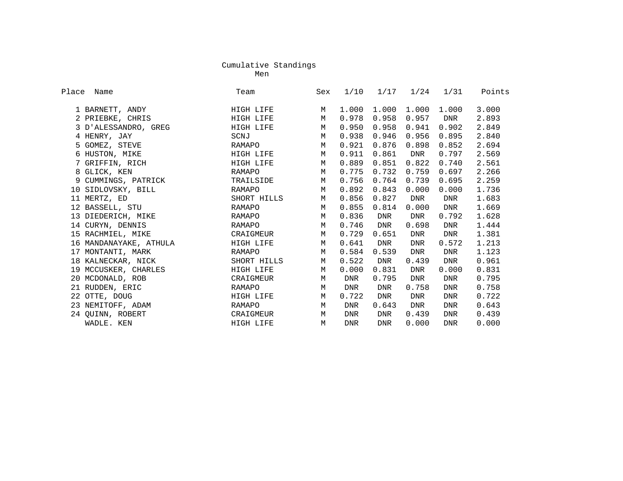ment and the contract of the contract of the Ment and the Ment and the Ment and the Ment and the Ment and the Men

| Place | Name                   | Team        | Sex | 1/10       | 1/17       | 1/24       | 1/31       | Points |
|-------|------------------------|-------------|-----|------------|------------|------------|------------|--------|
|       | 1 BARNETT, ANDY        | HIGH LIFE   | М   | 1,000      | 1,000      | 1,000      | 1,000      | 3.000  |
|       | 2 PRIEBKE, CHRIS       | HIGH LIFE   | М   | 0.978      | 0.958      | 0.957      | DNR        | 2.893  |
|       | 3 D'ALESSANDRO, GREG   | HIGH LIFE   | M   | 0.950      | 0.958      | 0.941      | 0.902      | 2.849  |
|       | 4 HENRY, JAY           | SCNJ        | M   | 0.938      | 0.946      | 0.956      | 0.895      | 2.840  |
|       | 5 GOMEZ, STEVE         | RAMAPO      | М   | 0.921      | 0.876      | 0.898      | 0.852      | 2.694  |
|       | 6 HUSTON, MIKE         | HIGH LIFE   | M   | 0.911      | 0.861      | <b>DNR</b> | 0.797      | 2.569  |
|       | 7 GRIFFIN, RICH        | HIGH LIFE   | M   | 0.889      | 0.851      | 0.822      | 0.740      | 2.561  |
|       | 8 GLICK, KEN           | RAMAPO      | M   | 0.775      | 0.732      | 0.759      | 0.697      | 2.266  |
|       | 9 CUMMINGS, PATRICK    | TRAILSIDE   | M   | 0.756      | 0.764      | 0.739      | 0.695      | 2.259  |
|       | 10 SIDLOVSKY, BILL     | RAMAPO      | M   | 0.892      | 0.843      | 0.000      | 0.000      | 1.736  |
|       | 11 MERTZ, ED           | SHORT HILLS | M   | 0.856      | 0.827      | DNR        | <b>DNR</b> | 1.683  |
|       | 12 BASSELL, STU        | RAMAPO      | М   | 0.855      | 0.814      | 0.000      | <b>DNR</b> | 1.669  |
|       | 13 DIEDERICH, MIKE     | RAMAPO      | М   | 0.836      | DNR        | DNR        | 0.792      | 1.628  |
|       | 14 CURYN, DENNIS       | RAMAPO      | М   | 0.746      | DNR        | 0.698      | DNR        | 1.444  |
|       | 15 RACHMIEL, MIKE      | CRAIGMEUR   | M   | 0.729      | 0.651      | DNR        | <b>DNR</b> | 1.381  |
|       | 16 MANDANAYAKE, ATHULA | HIGH LIFE   | М   | 0.641      | DNR        | <b>DNR</b> | 0.572      | 1.213  |
|       | 17 MONTANTI, MARK      | RAMAPO      | M   | 0.584      | 0.539      | <b>DNR</b> | DNR        | 1.123  |
|       | 18 KALNECKAR, NICK     | SHORT HILLS | M   | 0.522      | <b>DNR</b> | 0.439      | <b>DNR</b> | 0.961  |
|       | 19 MCCUSKER, CHARLES   | HIGH LIFE   | M   | 0.000      | 0.831      | <b>DNR</b> | 0.000      | 0.831  |
|       | 20 MCDONALD, ROB       | CRAIGMEUR   | M   | DNR        | 0.795      | <b>DNR</b> | <b>DNR</b> | 0.795  |
|       | 21 RUDDEN, ERIC        | RAMAPO      | M   | DNR        | <b>DNR</b> | 0.758      | <b>DNR</b> | 0.758  |
|       | 22 OTTE, DOUG          | HIGH LIFE   | M   | 0.722      | DNR        | <b>DNR</b> | <b>DNR</b> | 0.722  |
|       | 23 NEMITOFF, ADAM      | RAMAPO      | M   | <b>DNR</b> | 0.643      | <b>DNR</b> | <b>DNR</b> | 0.643  |
|       | 24 QUINN, ROBERT       | CRAIGMEUR   | M   | <b>DNR</b> | <b>DNR</b> | 0.439      | <b>DNR</b> | 0.439  |
|       | WADLE. KEN             | HIGH LIFE   | M   | <b>DNR</b> | <b>DNR</b> | 0.000      | <b>DNR</b> | 0.000  |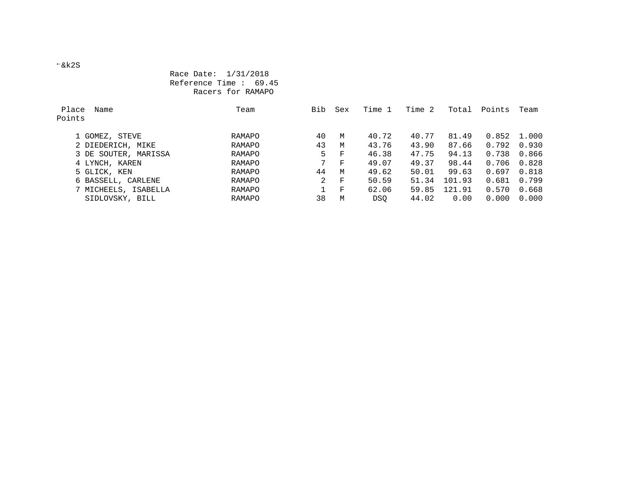#### Race Date: 1/31/2018 Reference Time : 69.45 Racers for RAMAPO

| Place<br>Points | Name                 | Team   | Bib | Sex | Time 1 | Time 2 | Total  | Points | Team  |
|-----------------|----------------------|--------|-----|-----|--------|--------|--------|--------|-------|
|                 | 1 GOMEZ, STEVE       | RAMAPO | 40  | M   | 40.72  | 40.77  | 81.49  | 0.852  | 1.000 |
|                 | 2 DIEDERICH, MIKE    | RAMAPO | 43  | M   | 43.76  | 43.90  | 87.66  | 0.792  | 0.930 |
|                 | 3 DE SOUTER, MARISSA | RAMAPO | 5   | F   | 46.38  | 47.75  | 94.13  | 0.738  | 0.866 |
|                 | 4 LYNCH, KAREN       | RAMAPO | 7   | F   | 49.07  | 49.37  | 98.44  | 0.706  | 0.828 |
|                 | 5 GLICK, KEN         | RAMAPO | 44  | M   | 49.62  | 50.01  | 99.63  | 0.697  | 0.818 |
|                 | 6 BASSELL, CARLENE   | RAMAPO | 2   | F   | 50.59  | 51.34  | 101.93 | 0.681  | 0.799 |
|                 | 7 MICHEELS, ISABELLA | RAMAPO |     | F   | 62.06  | 59.85  | 121.91 | 0.570  | 0.668 |
|                 | SIDLOVSKY, BILL      | RAMAPO | 38  | M   | DSO.   | 44.02  | 0.00   | 0.000  | 0.000 |

&k2S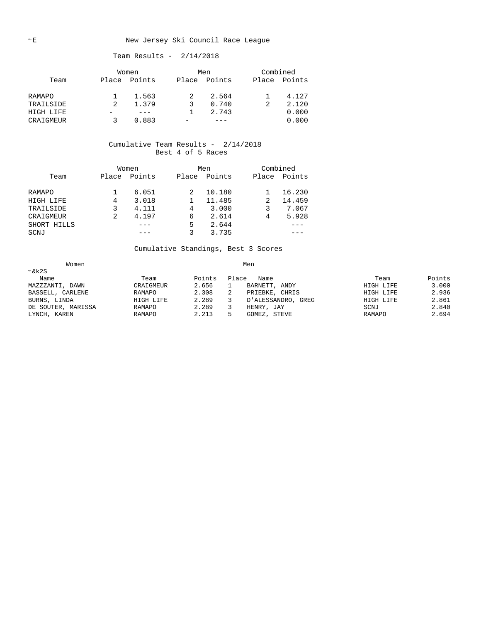#### E New Jersey Ski Council Race League

#### Team Results - 2/14/2018

|               |       | Women  |       | Men    |       | Combined |
|---------------|-------|--------|-------|--------|-------|----------|
| Team          | Place | Points | Place | Points | Place | Points   |
| <b>RAMAPO</b> |       | 1.563  |       | 2.564  |       | 4.127    |
| TRAILSIDE     |       | 1.379  |       | 0.740  |       | 2.120    |
| HIGH LIFE     |       |        |       | 2.743  |       | 0.000    |
| CRAIGMEUR     |       | 0.883  |       |        |       | 0.000    |

#### Cumulative Team Results - 2/14/2018 Best 4 of 5 Races

|             |       | Women  |       | Men    | Combined |        |
|-------------|-------|--------|-------|--------|----------|--------|
| Team        | Place | Points | Place | Points | Place    | Points |
|             |       |        |       |        |          |        |
| RAMAPO      |       | 6.051  |       | 10.180 |          | 16.230 |
| HIGH LIFE   | 4     | 3.018  |       | 11.485 | 2        | 14.459 |
| TRAILSIDE   |       | 4.111  | 4     | 3.000  |          | 7.067  |
| CRAIGMEUR   | 2     | 4.197  | 6     | 2.614  | 4        | 5.928  |
| SHORT HILLS |       |        | 5     | 2.644  |          |        |
| SCNJ        |       |        |       | 3.735  |          |        |

Cumulative Standings, Best 3 Scores

| Women              |           |        |       |                    |           |        |
|--------------------|-----------|--------|-------|--------------------|-----------|--------|
| $\xi$ k2S          |           |        |       |                    |           |        |
| Name               | Team      | Points | Place | Name               | Team      | Points |
| MAZZZANTI, DAWN    | CRAIGMEUR | 2.656  |       | BARNETT, ANDY      | HIGH LIFE | 3.000  |
| BASSELL, CARLENE   | RAMAPO    | 2.308  |       | PRIEBKE, CHRIS     | HIGH LIFE | 2.936  |
| BURNS, LINDA       | HIGH LIFE | 2.289  |       | D'ALESSANDRO, GREG | HIGH LIFE | 2.861  |
| DE SOUTER, MARISSA | RAMAPO    | 2.289  |       | HENRY, JAY         | SCNJ      | 2.840  |
| LYNCH, KAREN       | RAMAPO    | 2.213  |       | STEVE<br>GOMEZ,    | RAMAPO    | 2.694  |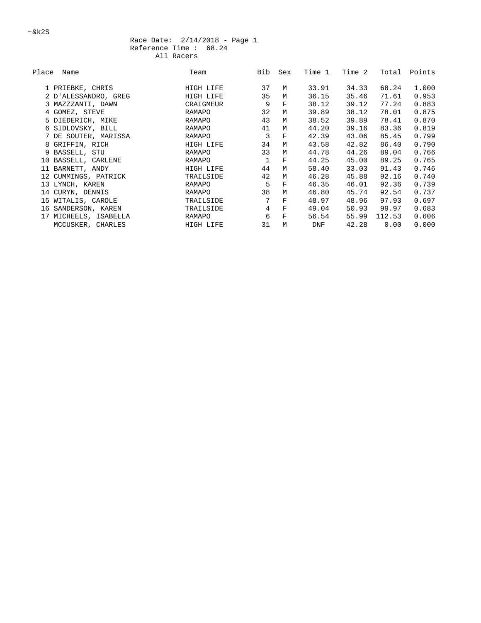#### Race Date: 2/14/2018 - Page 1 Reference Time : 68.24 All Racers

| Place | Name                  | Team          | Bib            | Sex          | Time 1 | Time 2 | Total  | Points |
|-------|-----------------------|---------------|----------------|--------------|--------|--------|--------|--------|
|       |                       |               |                |              |        |        |        |        |
|       | 1 PRIEBKE, CHRIS      | HIGH LIFE     | 37             | M            | 33.91  | 34.33  | 68.24  | 1.000  |
|       | 2 D'ALESSANDRO, GREG  | HIGH LIFE     | 35             | M            | 36.15  | 35.46  | 71.61  | 0.953  |
|       | 3 MAZZZANTI, DAWN     | CRAIGMEUR     | 9              | $\mathbf F$  | 38.12  | 39.12  | 77.24  | 0.883  |
|       | 4 GOMEZ, STEVE        | <b>RAMAPO</b> | 32             | M            | 39.89  | 38.12  | 78.01  | 0.875  |
|       | 5 DIEDERICH, MIKE     | RAMAPO        | 43             | M            | 38.52  | 39.89  | 78.41  | 0.870  |
|       | 6 SIDLOVSKY, BILL     | RAMAPO        | 41             | М            | 44.20  | 39.16  | 83.36  | 0.819  |
|       | 7 DE SOUTER, MARISSA  | RAMAPO        | 3              | $\mathbf{F}$ | 42.39  | 43.06  | 85.45  | 0.799  |
|       | 8 GRIFFIN, RICH       | HIGH LIFE     | 34             | M            | 43.58  | 42.82  | 86.40  | 0.790  |
|       | 9 BASSELL, STU        | RAMAPO        | 33             | M            | 44.78  | 44.26  | 89.04  | 0.766  |
|       | 10 BASSELL, CARLENE   | RAMAPO        | $\mathbf{1}$   | $\mathbf F$  | 44.25  | 45.00  | 89.25  | 0.765  |
|       | 11 BARNETT, ANDY      | HIGH LIFE     | 44             | M            | 58.40  | 33.03  | 91.43  | 0.746  |
|       | 12 CUMMINGS, PATRICK  | TRAILSIDE     | 42             | M            | 46.28  | 45.88  | 92.16  | 0.740  |
|       | 13 LYNCH, KAREN       | RAMAPO        | 5              | $\mathbf F$  | 46.35  | 46.01  | 92.36  | 0.739  |
|       | 14 CURYN, DENNIS      | RAMAPO        | 38             | М            | 46.80  | 45.74  | 92.54  | 0.737  |
|       | 15 WITALIS, CAROLE    | TRAILSIDE     | 7              | $\mathbf F$  | 48.97  | 48.96  | 97.93  | 0.697  |
|       | 16 SANDERSON, KAREN   | TRAILSIDE     | $\overline{4}$ | $\mathbf F$  | 49.04  | 50.93  | 99.97  | 0.683  |
|       | 17 MICHEELS, ISABELLA | RAMAPO        | 6              | $\mathbf F$  | 56.54  | 55.99  | 112.53 | 0.606  |
|       | MCCUSKER, CHARLES     | HIGH LIFE     | 31             | M            | DNF    | 42.28  | 0.00   | 0.000  |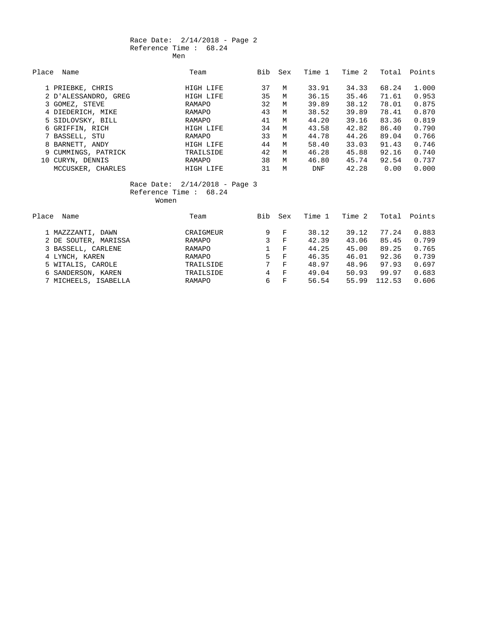#### Race Date: 2/14/2018 - Page 2 Reference Time : 68.24 Men

| Place | Name                 | Team      | Bib | Sex | Time 1     | Time 2 | Total | Points |
|-------|----------------------|-----------|-----|-----|------------|--------|-------|--------|
|       | 1 PRIEBKE, CHRIS     | HIGH LIFE | 37  | М   | 33.91      | 34.33  | 68.24 | 1,000  |
|       | 2 D'ALESSANDRO, GREG | HIGH LIFE | 35  | M   | 36.15      | 35.46  | 71.61 | 0.953  |
|       | 3 GOMEZ, STEVE       | RAMAPO    | 32  | M   | 39.89      | 38.12  | 78.01 | 0.875  |
|       | 4 DIEDERICH, MIKE    | RAMAPO    | 43  | М   | 38.52      | 39.89  | 78.41 | 0.870  |
|       | 5 SIDLOVSKY, BILL    | RAMAPO    | 41  | M   | 44.20      | 39.16  | 83.36 | 0.819  |
|       | 6 GRIFFIN, RICH      | HIGH LIFE | 34  | M   | 43.58      | 42.82  | 86.40 | 0.790  |
|       | 7 BASSELL, STU       | RAMAPO    | 33  | M   | 44.78      | 44.26  | 89.04 | 0.766  |
|       | 8 BARNETT, ANDY      | HIGH LIFE | 44  | M   | 58.40      | 33.03  | 91.43 | 0.746  |
|       | 9 CUMMINGS, PATRICK  | TRAILSIDE | 42  | M   | 46.28      | 45.88  | 92.16 | 0.740  |
|       | 10 CURYN, DENNIS     | RAMAPO    | 38  | M   | 46.80      | 45.74  | 92.54 | 0.737  |
|       | MCCUSKER, CHARLES    | HIGH LIFE | 31  | M   | <b>DNF</b> | 42.28  | 0.00  | 0.000  |

 Race Date: 2/14/2018 - Page 3 Reference Time : 68.24

Women

| Place<br>Name        | Team          | Bib | Sex          | Time 1 | Time 2 | Total  | Points |
|----------------------|---------------|-----|--------------|--------|--------|--------|--------|
| 1 MAZZZANTI, DAWN    | CRAIGMEUR     | 9   | $_{\rm F}$   | 38.12  | 39.12  | 77.24  | 0.883  |
| 2 DE SOUTER, MARISSA | RAMAPO        | 3   | F            | 42.39  | 43.06  | 85.45  | 0.799  |
| 3 BASSELL, CARLENE   | <b>RAMAPO</b> |     | $_{\rm F}$   | 44.25  | 45.00  | 89.25  | 0.765  |
| 4 LYNCH, KAREN       | <b>RAMAPO</b> | 5.  | $\mathbf{F}$ | 46.35  | 46.01  | 92.36  | 0.739  |
| 5 WITALIS, CAROLE    | TRAILSIDE     | 7   | $_{\rm F}$   | 48.97  | 48.96  | 97.93  | 0.697  |
| 6 SANDERSON, KAREN   | TRAILSIDE     | 4   | $\mathbf{F}$ | 49.04  | 50.93  | 99.97  | 0.683  |
| 7 MICHEELS, ISABELLA | <b>RAMAPO</b> | 6   | $_{\rm F}$   | 56.54  | 55.99  | 112.53 | 0.606  |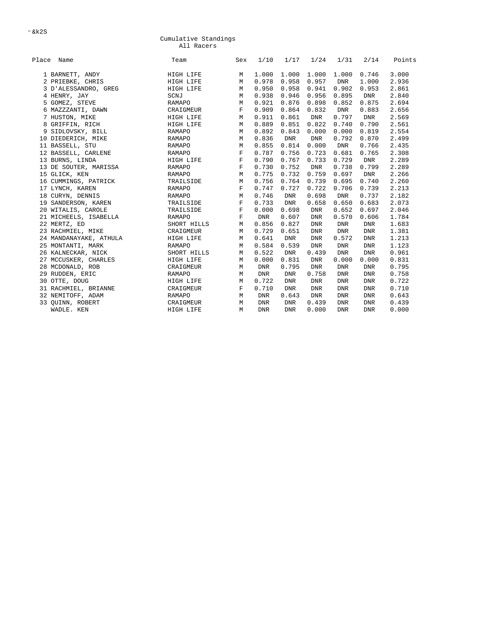$-kk2S$ 

#### Cumulative Standings All Racers

| Place Name             | Team          | Sex         | 1/10       | 1/17       | 1/24       | 1/31       | 2/14       | Points |
|------------------------|---------------|-------------|------------|------------|------------|------------|------------|--------|
| 1 BARNETT, ANDY        | HIGH LIFE     | М           | 1.000      | 1.000      | 1.000      | 1.000      | 0.746      | 3.000  |
| 2 PRIEBKE, CHRIS       | HIGH LIFE     | M           | 0.978      | 0.958      | 0.957      | <b>DNR</b> | 1.000      | 2.936  |
| 3 D'ALESSANDRO, GREG   | HIGH LIFE     | M           | 0.950      | 0.958      | 0.941      | 0.902      | 0.953      | 2.861  |
| 4 HENRY, JAY           | SCNJ          | M           | 0.938      | 0.946      | 0.956      | 0.895      | DNR        | 2.840  |
| 5 GOMEZ, STEVE         | RAMAPO        | M           | 0.921      | 0.876      | 0.898      | 0.852      | 0.875      | 2.694  |
| 6 MAZZZANTI, DAWN      | CRAIGMEUR     | $\mathbf F$ | 0.909      | 0.864      | 0.832      | <b>DNR</b> | 0.883      | 2.656  |
| 7 HUSTON, MIKE         | HIGH LIFE     | M           | 0.911      | 0.861      | DNR        | 0.797      | DNR        | 2.569  |
| 8 GRIFFIN, RICH        | HIGH LIFE     | M           | 0.889      | 0.851      | 0.822      | 0.740      | 0.790      | 2.561  |
| 9 SIDLOVSKY, BILL      | <b>RAMAPO</b> | M           | 0.892      | 0.843      | 0.000      | 0.000      | 0.819      | 2.554  |
| 10 DIEDERICH, MIKE     | RAMAPO        | M           | 0.836      | <b>DNR</b> | DNR        | 0.792      | 0.870      | 2.499  |
| 11 BASSELL, STU        | RAMAPO        | M           | 0.855      | 0.814      | 0.000      | <b>DNR</b> | 0.766      | 2.435  |
| 12 BASSELL, CARLENE    | RAMAPO        | $\mathbf F$ | 0.787      | 0.756      | 0.723      | 0.681      | 0.765      | 2.308  |
| 13 BURNS, LINDA        | HIGH LIFE     | $\mathbf F$ | 0.790      | 0.767      | 0.733      | 0.729      | DNR        | 2.289  |
| 13 DE SOUTER, MARISSA  | <b>RAMAPO</b> | $\mathbf F$ | 0.730      | 0.752      | <b>DNR</b> | 0.738      | 0.799      | 2.289  |
| 15 GLICK, KEN          | RAMAPO        | M           | 0.775      | 0.732      | 0.759      | 0.697      | <b>DNR</b> | 2.266  |
| 16 CUMMINGS, PATRICK   | TRAILSIDE     | M           | 0.756      | 0.764      | 0.739      | 0.695      | 0.740      | 2.260  |
| 17 LYNCH, KAREN        | <b>RAMAPO</b> | $\mathbf F$ | 0.747      | 0.727      | 0.722      | 0.706      | 0.739      | 2.213  |
| 18 CURYN, DENNIS       | RAMAPO        | M           | 0.746      | <b>DNR</b> | 0.698      | DNR        | 0.737      | 2.182  |
| 19 SANDERSON, KAREN    | TRAILSIDE     | $\mathbf F$ | 0.733      | <b>DNR</b> | 0.658      | 0.650      | 0.683      | 2.073  |
| 20 WITALIS, CAROLE     | TRAILSIDE     | $\mathbf F$ | 0.000      | 0.698      | <b>DNR</b> | 0.652      | 0.697      | 2.046  |
| 21 MICHEELS, ISABELLA  | <b>RAMAPO</b> | $\mathbf F$ | DNR        | 0.607      | <b>DNR</b> | 0.570      | 0.606      | 1.784  |
| 22 MERTZ, ED           | SHORT HILLS   | M           | 0.856      | 0.827      | <b>DNR</b> | <b>DNR</b> | <b>DNR</b> | 1.683  |
| 23 RACHMIEL, MIKE      | CRAIGMEUR     | M           | 0.729      | 0.651      | <b>DNR</b> | <b>DNR</b> | <b>DNR</b> | 1.381  |
| 24 MANDANAYAKE, ATHULA | HIGH LIFE     | M           | 0.641      | <b>DNR</b> | <b>DNR</b> | 0.572      | <b>DNR</b> | 1.213  |
| 25 MONTANTI, MARK      | RAMAPO        | M           | 0.584      | 0.539      | <b>DNR</b> | DNR        | <b>DNR</b> | 1.123  |
| 26 KALNECKAR, NICK     | SHORT HILLS   | М           | 0.522      | <b>DNR</b> | 0.439      | <b>DNR</b> | <b>DNR</b> | 0.961  |
| 27 MCCUSKER, CHARLES   | HIGH LIFE     | M           | 0.000      | 0.831      | <b>DNR</b> | 0.000      | 0.000      | 0.831  |
| 28 MCDONALD, ROB       | CRAIGMEUR     | M           | <b>DNR</b> | 0.795      | <b>DNR</b> | <b>DNR</b> | <b>DNR</b> | 0.795  |
| 29 RUDDEN, ERIC        | <b>RAMAPO</b> | М           | <b>DNR</b> | <b>DNR</b> | 0.758      | <b>DNR</b> | <b>DNR</b> | 0.758  |
| 30 OTTE, DOUG          | HIGH LIFE     | М           | 0.722      | <b>DNR</b> | <b>DNR</b> | <b>DNR</b> | <b>DNR</b> | 0.722  |
| 31 RACHMIEL, BRIANNE   | CRAIGMEUR     | F           | 0.710      | <b>DNR</b> | <b>DNR</b> | <b>DNR</b> | <b>DNR</b> | 0.710  |
| 32 NEMITOFF, ADAM      | <b>RAMAPO</b> | M           | <b>DNR</b> | 0.643      | <b>DNR</b> | <b>DNR</b> | <b>DNR</b> | 0.643  |
| 33 OUINN, ROBERT       | CRAIGMEUR     | M           | <b>DNR</b> | <b>DNR</b> | 0.439      | <b>DNR</b> | <b>DNR</b> | 0.439  |
| WADLE. KEN             | HIGH LIFE     | М           | <b>DNR</b> | <b>DNR</b> | 0.000      | <b>DNR</b> | <b>DNR</b> | 0.000  |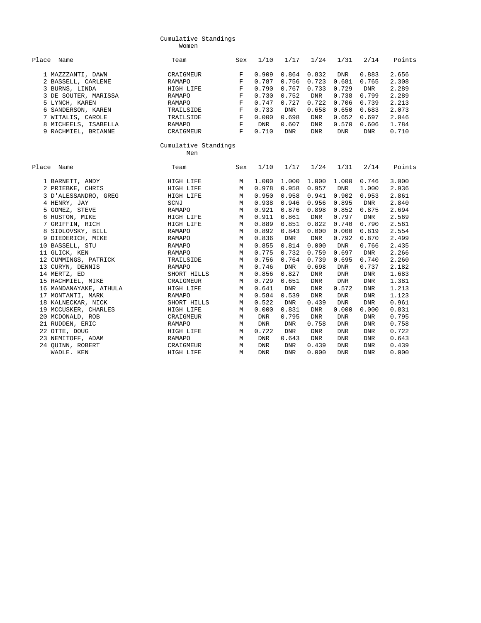#### Cumulative Standings Women

| Place Name                                                | Team                             | Sex                   | 1/10                    | 1/17                    | 1/24                    | 1/31                  | 2/14                         | Points                  |
|-----------------------------------------------------------|----------------------------------|-----------------------|-------------------------|-------------------------|-------------------------|-----------------------|------------------------------|-------------------------|
| 1 MAZZZANTI, DAWN<br>2 BASSELL, CARLENE<br>3 BURNS, LINDA | CRAIGMEUR<br>RAMAPO<br>HIGH LIFE | F<br>F<br>$\mathbf F$ | 0.909<br>0.787<br>0.790 | 0.864<br>0.756<br>0.767 | 0.832<br>0.723<br>0.733 | DNR<br>0.681<br>0.729 | 0.883<br>0.765<br><b>DNR</b> | 2.656<br>2.308<br>2.289 |
| 3 DE SOUTER, MARISSA                                      | RAMAPO                           | F                     | 0.730                   | 0.752                   | <b>DNR</b>              | 0.738                 | 0.799                        | 2.289                   |
| 5 LYNCH, KAREN                                            | RAMAPO                           | F                     | 0.747                   | 0.727                   | 0.722                   | 0.706                 | 0.739                        | 2.213                   |
| 6 SANDERSON, KAREN                                        | TRAILSIDE                        | F                     | 0.733                   | <b>DNR</b>              | 0.658                   | 0.650                 | 0.683                        | 2.073                   |
| 7 WITALIS, CAROLE                                         | TRAILSIDE                        | $\mathbf F$           | 0.000                   | 0.698                   | <b>DNR</b>              | 0.652                 | 0.697                        | 2.046                   |
| 8 MICHEELS, ISABELLA                                      | RAMAPO                           | F                     | DNR                     | 0.607                   | <b>DNR</b>              | 0.570                 | 0.606                        | 1.784                   |
| 9 RACHMIEL, BRIANNE                                       | CRAIGMEUR                        | F                     | 0.710                   | <b>DNR</b>              | <b>DNR</b>              | DNR                   | <b>DNR</b>                   | 0.710                   |
|                                                           |                                  |                       |                         |                         |                         |                       |                              |                         |
|                                                           | Men                              |                       |                         |                         |                         |                       |                              |                         |
| Place Name                                                | Team                             | Sex                   | 1/10                    | 1/17                    | 1/24                    | 1/31                  | 2/14                         | Points                  |
| 1 BARNETT, ANDY                                           | HIGH LIFE                        | М                     | 1,000                   | 1.000                   | 1.000                   | 1.000                 | 0.746                        | 3.000                   |
| 2 PRIEBKE, CHRIS                                          | HIGH LIFE                        | M                     | 0.978                   | 0.958                   | 0.957                   | <b>DNR</b>            | 1.000                        | 2.936                   |
| 3 D'ALESSANDRO, GREG                                      | HIGH LIFE                        | М                     | 0.950                   | 0.958                   | 0.941                   | 0.902                 | 0.953                        | 2.861                   |
| 4 HENRY, JAY                                              | SCNJ                             | M                     | 0.938                   | 0.946                   | 0.956                   | 0.895                 | <b>DNR</b>                   | 2.840                   |
| 5 GOMEZ, STEVE                                            | <b>RAMAPO</b>                    | M                     | 0.921                   | 0.876                   | 0.898                   | 0.852                 | 0.875                        | 2.694                   |
| 6 HUSTON, MIKE                                            | HIGH LIFE                        | М                     | 0.911                   | 0.861                   | DNR                     | 0.797                 | <b>DNR</b>                   | 2.569                   |
| 7 GRIFFIN, RICH                                           | HIGH LIFE                        | М                     | 0.889                   | 0.851                   | 0.822                   | 0.740                 | 0.790                        | 2.561                   |
| 8 SIDLOVSKY, BILL                                         | RAMAPO                           | М                     | 0.892                   | 0.843                   | 0.000                   | 0.000                 | 0.819                        | 2.554                   |
| 9 DIEDERICH, MIKE                                         | <b>RAMAPO</b>                    | M                     | 0.836                   | <b>DNR</b>              | DNR                     | 0.792                 | 0.870                        | 2.499                   |
| 10 BASSELL, STU                                           | RAMAPO                           | M                     | 0.855                   | 0.814                   | 0.000                   | DNR                   | 0.766                        | 2.435                   |
| 11 GLICK, KEN                                             | RAMAPO                           | М                     | 0.775                   | 0.732                   | 0.759                   | 0.697                 | <b>DNR</b>                   | 2.266                   |
| 12 CUMMINGS, PATRICK                                      | TRAILSIDE                        | M                     | 0.756                   | 0.764                   | 0.739                   | 0.695                 | 0.740                        | 2.260                   |
| 13 CURYN, DENNIS                                          | <b>RAMAPO</b>                    | M                     | 0.746                   | <b>DNR</b>              | 0.698                   | <b>DNR</b>            | 0.737                        | 2.182                   |
| 14 MERTZ, ED                                              | SHORT HILLS                      | М                     | 0.856                   | 0.827                   | <b>DNR</b>              | <b>DNR</b>            | <b>DNR</b>                   | 1.683                   |
| 15 RACHMIEL, MIKE                                         | CRAIGMEUR                        | М                     | 0.729                   | 0.651                   | <b>DNR</b>              | <b>DNR</b>            | <b>DNR</b>                   | 1.381                   |
| 16 MANDANAYAKE, ATHULA                                    | HIGH LIFE                        | М                     | 0.641                   | <b>DNR</b>              | <b>DNR</b>              | 0.572                 | <b>DNR</b>                   | 1.213                   |
| 17 MONTANTI, MARK                                         | <b>RAMAPO</b>                    | M                     | 0.584                   | 0.539                   | <b>DNR</b>              | <b>DNR</b>            | <b>DNR</b>                   | 1.123                   |
| 18 KALNECKAR, NICK                                        | SHORT HILLS                      | M                     | 0.522                   | <b>DNR</b>              | 0.439                   | <b>DNR</b>            | <b>DNR</b>                   | 0.961                   |
| 19 MCCUSKER, CHARLES                                      | HIGH LIFE                        | М                     | 0.000                   | 0.831                   | <b>DNR</b>              | 0.000                 | 0.000                        | 0.831                   |
| 20 MCDONALD, ROB                                          | CRAIGMEUR                        | M                     | <b>DNR</b>              | 0.795                   | <b>DNR</b>              | <b>DNR</b>            | <b>DNR</b>                   | 0.795                   |
| 21 RUDDEN, ERIC                                           | RAMAPO                           | М                     | <b>DNR</b>              | <b>DNR</b>              | 0.758                   | <b>DNR</b>            | <b>DNR</b>                   | 0.758                   |
| 22 OTTE, DOUG                                             | HIGH LIFE                        | М                     | 0.722                   | <b>DNR</b>              | <b>DNR</b>              | <b>DNR</b>            | <b>DNR</b>                   | 0.722                   |
| 23 NEMITOFF, ADAM                                         | RAMAPO                           | М                     | <b>DNR</b>              | 0.643                   | <b>DNR</b>              | <b>DNR</b>            | <b>DNR</b>                   | 0.643                   |
| 24 QUINN, ROBERT                                          | CRAIGMEUR                        | М                     | <b>DNR</b>              | <b>DNR</b>              | 0.439                   | <b>DNR</b>            | <b>DNR</b>                   | 0.439                   |
| WADLE. KEN                                                | HIGH LIFE                        | M                     | <b>DNR</b>              | <b>DNR</b>              | 0.000                   | <b>DNR</b>            | <b>DNR</b>                   | 0.000                   |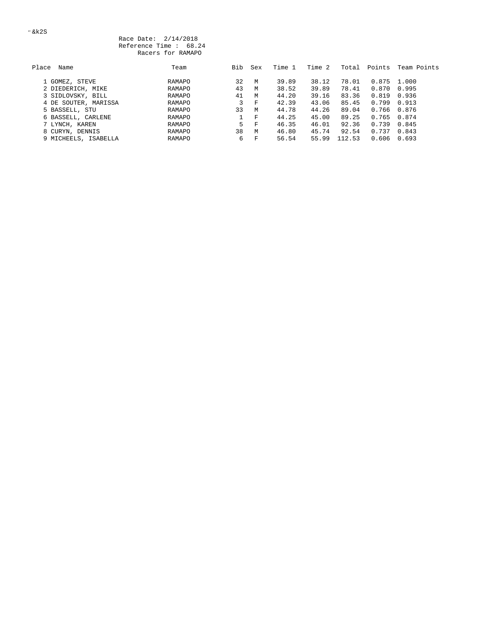| Place<br>Name        | Team   | Bib | Sex | Time 1 | Time 2 | Total  | Points | Team Points     |
|----------------------|--------|-----|-----|--------|--------|--------|--------|-----------------|
| 1 GOMEZ, STEVE       | RAMAPO | 32  | М   | 39.89  | 38.12  | 78.01  | 0.875  | 1.000           |
| 2 DIEDERICH, MIKE    | RAMAPO | 43  | M   | 38.52  | 39.89  | 78.41  | 0.870  | 0.995           |
| 3 SIDLOVSKY, BILL    | RAMAPO | 41  | M   | 44.20  | 39.16  | 83.36  | 0.819  | 0.936           |
| 4 DE SOUTER, MARISSA | RAMAPO | 3   | F   | 42.39  | 43.06  | 85.45  | 0.799  | 0.913           |
| 5 BASSELL, STU       | RAMAPO | 33  | M   | 44.78  | 44.26  | 89.04  |        | $0.766$ $0.876$ |
| 6 BASSELL, CARLENE   | RAMAPO |     | F   | 44.25  | 45.00  | 89.25  |        | $0.765$ 0.874   |
| 7 LYNCH, KAREN       | RAMAPO | 5.  | 一下  | 46.35  | 46.01  | 92.36  | 0.739  | 0.845           |
| 8 CURYN, DENNIS      | RAMAPO | 38  | М   | 46.80  | 45.74  | 92.54  | 0.737  | 0.843           |
| 9 MICHEELS, ISABELLA | RAMAPO | 6   | F   | 56.54  | 55.99  | 112.53 |        | $0.606$ $0.693$ |
|                      |        |     |     |        |        |        |        |                 |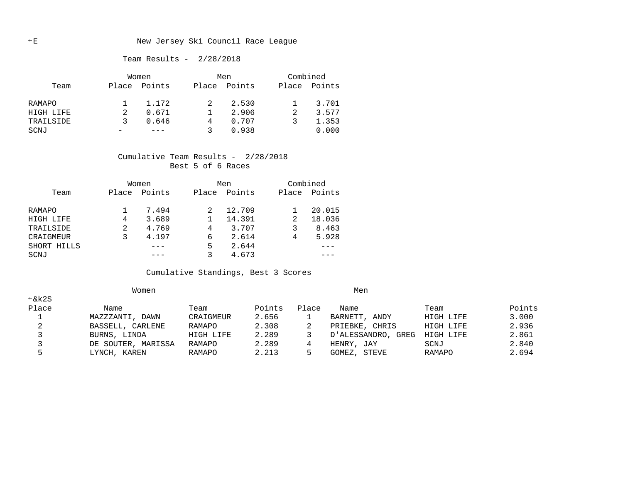#### E New Jersey Ski Council Race League

#### Team Results - 2/28/2018

|           | Women |        |       | Men    | Combined |        |
|-----------|-------|--------|-------|--------|----------|--------|
| Team      | Place | Points | Place | Points | Place    | Points |
| RAMAPO    |       | 1.172  |       | 2.530  |          | 3.701  |
| HIGH LIFE |       | 0.671  |       | 2.906  |          | 3.577  |
| TRAILSIDE | २     | 0.646  | 4     | 0.707  |          | 1.353  |
| SCNJ      |       |        | ર     | 0.938  |          | 0.000  |

#### Cumulative Team Results - 2/28/2018 Best 5 of 6 Races

|             |       | Women  | Men   |        | Combined |        |
|-------------|-------|--------|-------|--------|----------|--------|
| Team        | Place | Points | Place | Points | Place    | Points |
| RAMAPO      |       | 7.494  |       | 12.709 |          | 20.015 |
| HIGH LIFE   | 4     | 3.689  |       | 14.391 | 2        | 18.036 |
| TRAILSIDE   | 2     | 4.769  | 4     | 3.707  |          | 8.463  |
| CRAIGMEUR   |       | 4.197  | 6     | 2.614  | 4        | 5.928  |
| SHORT HILLS |       |        | 5     | 2.644  |          |        |
| SCNJ        |       |        |       | 4.673  |          |        |

## Cumulative Standings, Best 3 Scores

|       | Women              |           |        |       | Men                |           |        |
|-------|--------------------|-----------|--------|-------|--------------------|-----------|--------|
| ←&k2S |                    |           |        |       |                    |           |        |
| Place | Name               | Team      | Points | Place | Name               | Team      | Points |
|       | MAZZZANTI, DAWN    | CRAIGMEUR | 2.656  |       | BARNETT, ANDY      | HIGH LIFE | 3.000  |
|       | BASSELL, CARLENE   | RAMAPO    | 2.308  |       | PRIEBKE, CHRIS     | HIGH LIFE | 2.936  |
|       | BURNS, LINDA       | HIGH LIFE | 2.289  |       | D'ALESSANDRO, GREG | HIGH LIFE | 2.861  |
|       | DE SOUTER, MARISSA | RAMAPO    | 2.289  | 4     | HENRY, JAY         | SCNJ      | 2.840  |
|       | LYNCH, KAREN       | RAMAPO    | 2.213  |       | STEVE<br>GOMEZ,    | RAMAPO    | 2.694  |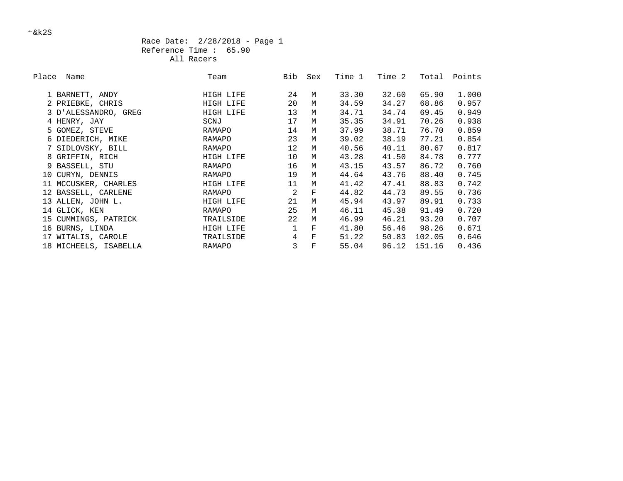#### Race Date: 2/28/2018 - Page 1 Reference Time : 65.90 All Racers

| Place | Name                  | Team      | Bib             | Sex                | Time 1 | Time 2 | Total  | Points |
|-------|-----------------------|-----------|-----------------|--------------------|--------|--------|--------|--------|
|       | 1 BARNETT, ANDY       | HIGH LIFE | 24              | М                  | 33.30  | 32.60  | 65.90  | 1.000  |
|       | 2 PRIEBKE, CHRIS      | HIGH LIFE | 20              | М                  | 34.59  | 34.27  | 68.86  | 0.957  |
|       | 3 D'ALESSANDRO, GREG  | HIGH LIFE | 13              | М                  | 34.71  | 34.74  | 69.45  | 0.949  |
|       | 4 HENRY, JAY          | SCNJ      | 17              | M                  | 35.35  | 34.91  | 70.26  | 0.938  |
|       | 5 GOMEZ, STEVE        | RAMAPO    | 14              | М                  | 37.99  | 38.71  | 76.70  | 0.859  |
|       | 6 DIEDERICH, MIKE     | RAMAPO    | 23              | М                  | 39.02  | 38.19  | 77.21  | 0.854  |
|       | 7 SIDLOVSKY, BILL     | RAMAPO    | 12 <sup>°</sup> | М                  | 40.56  | 40.11  | 80.67  | 0.817  |
|       | 8 GRIFFIN, RICH       | HIGH LIFE | 10              | М                  | 43.28  | 41.50  | 84.78  | 0.777  |
|       | 9 BASSELL, STU        | RAMAPO    | 16              | M                  | 43.15  | 43.57  | 86.72  | 0.760  |
|       | 10 CURYN, DENNIS      | RAMAPO    | 19              | M                  | 44.64  | 43.76  | 88.40  | 0.745  |
|       | 11 MCCUSKER, CHARLES  | HIGH LIFE | 11              | M                  | 41.42  | 47.41  | 88.83  | 0.742  |
|       | 12 BASSELL, CARLENE   | RAMAPO    | $\mathfrak{D}$  | $\mathbf{F}% _{0}$ | 44.82  | 44.73  | 89.55  | 0.736  |
|       | 13 ALLEN, JOHN L.     | HIGH LIFE | 21              | М                  | 45.94  | 43.97  | 89.91  | 0.733  |
|       | 14 GLICK, KEN         | RAMAPO    | 25              | M                  | 46.11  | 45.38  | 91.49  | 0.720  |
|       | 15 CUMMINGS, PATRICK  | TRAILSIDE | 22              | М                  | 46.99  | 46.21  | 93.20  | 0.707  |
|       | 16 BURNS, LINDA       | HIGH LIFE |                 | $\mathbf F$        | 41.80  | 56.46  | 98.26  | 0.671  |
|       | 17 WITALIS, CAROLE    | TRAILSIDE | 4               | $\mathbf F$        | 51.22  | 50.83  | 102.05 | 0.646  |
|       | 18 MICHEELS, ISABELLA | RAMAPO    | 3               | $\mathbf F$        | 55.04  | 96.12  | 151.16 | 0.436  |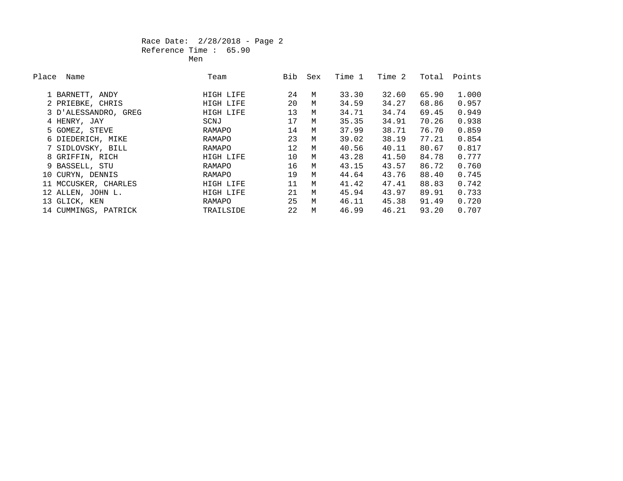#### Race Date: 2/28/2018 - Page 2 Reference Time : 65.90 **Men** Mension of the state of the state of the Mension of the Mension of the Second State of the Second State of the Second State of the Second State of the Second State of the Second State of the Second State of the Secon

| Place | Name                 | Team      | Bib | Sex | Time 1 | Time 2 | Total | Points |
|-------|----------------------|-----------|-----|-----|--------|--------|-------|--------|
|       | 1 BARNETT, ANDY      | HIGH LIFE | 24  | M   | 33.30  | 32.60  | 65.90 | 1.000  |
|       | 2 PRIEBKE, CHRIS     | HIGH LIFE | 20  | М   | 34.59  | 34.27  | 68.86 | 0.957  |
|       | 3 D'ALESSANDRO, GREG | HIGH LIFE | 13  | M   | 34.71  | 34.74  | 69.45 | 0.949  |
|       | 4 HENRY, JAY         | SCNJ      | 17  | M   | 35.35  | 34.91  | 70.26 | 0.938  |
|       | 5 GOMEZ, STEVE       | RAMAPO    | 14  | M   | 37.99  | 38.71  | 76.70 | 0.859  |
|       | 6 DIEDERICH, MIKE    | RAMAPO    | 23  | M   | 39.02  | 38.19  | 77.21 | 0.854  |
|       | 7 SIDLOVSKY, BILL    | RAMAPO    | 12  | M   | 40.56  | 40.11  | 80.67 | 0.817  |
|       | 8 GRIFFIN, RICH      | HIGH LIFE | 10  | M   | 43.28  | 41.50  | 84.78 | 0.777  |
|       | 9 BASSELL, STU       | RAMAPO    | 16  | M   | 43.15  | 43.57  | 86.72 | 0.760  |
|       | 10 CURYN, DENNIS     | RAMAPO    | 19  | M   | 44.64  | 43.76  | 88.40 | 0.745  |
|       | 11 MCCUSKER, CHARLES | HIGH LIFE | 11  | M   | 41.42  | 47.41  | 88.83 | 0.742  |
|       | 12 ALLEN, JOHN L.    | HIGH LIFE | 21  | M   | 45.94  | 43.97  | 89.91 | 0.733  |
|       | 13 GLICK, KEN        | RAMAPO    | 25  | M   | 46.11  | 45.38  | 91.49 | 0.720  |
|       | 14 CUMMINGS, PATRICK | TRAILSIDE | 22  | M   | 46.99  | 46.21  | 93.20 | 0.707  |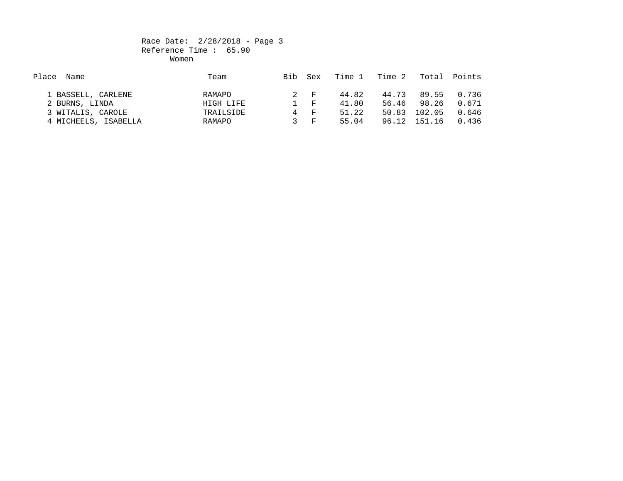#### Race Date: 2/28/2018 - Page 3 Reference Time : 65.90 women when we have a state of the Women women when the state of the state of the state of the state of the state of the state of the state of the state of the state of the state of the state of the state of the state of th

| Place<br>Name        | Team      | Bib | Sex         | Time 1 | Time 2 | Total  | Points |
|----------------------|-----------|-----|-------------|--------|--------|--------|--------|
|                      |           |     |             |        |        |        |        |
| 1 BASSELL, CARLENE   | RAMAPO    |     | 2 F         | 44.82  | 44.73  | 89.55  | 0.736  |
| 2 BURNS, LINDA       | HIGH LIFE |     | $1 \quad F$ | 41.80  | 56.46  | 98.26  | 0.671  |
| 3 WITALIS, CAROLE    | TRAILSIDE | 4   | ਾ ਜਾ        | 51.22  | 50.83  | 102.05 | 0.646  |
| 4 MICHEELS, ISABELLA | RAMAPO    |     | 3 म         | 55.04  | 96.12  | 151.16 | 0.436  |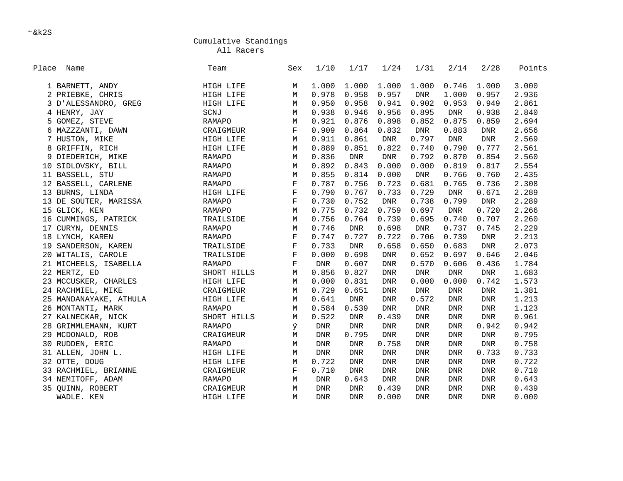All Racers

| Place Name             | Team          | Sex         | 1/10        | 1/17        | 1/24        | 1/31        | 2/14        | 2/28       | Points |
|------------------------|---------------|-------------|-------------|-------------|-------------|-------------|-------------|------------|--------|
| 1 BARNETT, ANDY        | HIGH LIFE     | М           | 1.000       | 1.000       | 1.000       | 1.000       | 0.746       | 1.000      | 3.000  |
| 2 PRIEBKE, CHRIS       | HIGH LIFE     | $\mathbb M$ | 0.978       | 0.958       | 0.957       | <b>DNR</b>  | 1.000       | 0.957      | 2.936  |
| 3 D'ALESSANDRO, GREG   | HIGH LIFE     | М           | 0.950       | 0.958       | 0.941       | 0.902       | 0.953       | 0.949      | 2.861  |
| 4 HENRY, JAY           | SCNJ          | М           | 0.938       | 0.946       | 0.956       | 0.895       | <b>DNR</b>  | 0.938      | 2.840  |
| GOMEZ, STEVE<br>5.     | RAMAPO        | M           | 0.921       | 0.876       | 0.898       | 0.852       | 0.875       | 0.859      | 2.694  |
| 6 MAZZZANTI, DAWN      | CRAIGMEUR     | F           | 0.909       | 0.864       | 0.832       | DNR         | 0.883       | DNR        | 2.656  |
| 7 HUSTON, MIKE         | HIGH LIFE     | М           | 0.911       | 0.861       | <b>DNR</b>  | 0.797       | ${\rm DNR}$ | <b>DNR</b> | 2.569  |
| 8 GRIFFIN, RICH        | HIGH LIFE     | М           | 0.889       | 0.851       | 0.822       | 0.740       | 0.790       | 0.777      | 2.561  |
| 9 DIEDERICH, MIKE      | <b>RAMAPO</b> | M           | 0.836       | <b>DNR</b>  | <b>DNR</b>  | 0.792       | 0.870       | 0.854      | 2.560  |
| 10 SIDLOVSKY, BILL     | RAMAPO        | M           | 0.892       | 0.843       | 0.000       | 0.000       | 0.819       | 0.817      | 2.554  |
| 11 BASSELL, STU        | RAMAPO        | М           | 0.855       | 0.814       | 0.000       | <b>DNR</b>  | 0.766       | 0.760      | 2.435  |
| 12 BASSELL, CARLENE    | RAMAPO        | $\mathbf F$ | 0.787       | 0.756       | 0.723       | 0.681       | 0.765       | 0.736      | 2.308  |
| 13 BURNS, LINDA        | HIGH LIFE     | $\mathbf F$ | 0.790       | 0.767       | 0.733       | 0.729       | ${\rm DNR}$ | 0.671      | 2.289  |
| 13 DE SOUTER, MARISSA  | RAMAPO        | $\mathbf F$ | 0.730       | 0.752       | ${\rm DNR}$ | 0.738       | 0.799       | <b>DNR</b> | 2.289  |
| 15 GLICK, KEN          | RAMAPO        | M           | 0.775       | 0.732       | 0.759       | 0.697       | <b>DNR</b>  | 0.720      | 2.266  |
| 16 CUMMINGS, PATRICK   | TRAILSIDE     | М           | 0.756       | 0.764       | 0.739       | 0.695       | 0.740       | 0.707      | 2.260  |
| 17 CURYN, DENNIS       | <b>RAMAPO</b> | M           | 0.746       | <b>DNR</b>  | 0.698       | <b>DNR</b>  | 0.737       | 0.745      | 2.229  |
| 18 LYNCH, KAREN        | RAMAPO        | F           | 0.747       | 0.727       | 0.722       | 0.706       | 0.739       | DNR        | 2.213  |
| 19 SANDERSON, KAREN    | TRAILSIDE     | $\mathbf F$ | 0.733       | ${\rm DNR}$ | 0.658       | 0.650       | 0.683       | DNR        | 2.073  |
| 20 WITALIS, CAROLE     | TRAILSIDE     | $\mathbf F$ | 0.000       | 0.698       | <b>DNR</b>  | 0.652       | 0.697       | 0.646      | 2.046  |
| 21 MICHEELS, ISABELLA  | RAMAPO        | $\mathbf F$ | <b>DNR</b>  | 0.607       | <b>DNR</b>  | 0.570       | 0.606       | 0.436      | 1.784  |
| 22 MERTZ, ED           | SHORT HILLS   | M           | 0.856       | 0.827       | <b>DNR</b>  | <b>DNR</b>  | <b>DNR</b>  | DNR        | 1.683  |
| 23 MCCUSKER, CHARLES   | HIGH LIFE     | М           | 0.000       | 0.831       | <b>DNR</b>  | 0.000       | 0.000       | 0.742      | 1.573  |
| 24 RACHMIEL, MIKE      | CRAIGMEUR     | $\mathbb M$ | 0.729       | 0.651       | ${\rm DNR}$ | ${\rm DNR}$ | <b>DNR</b>  | DNR        | 1.381  |
| 25 MANDANAYAKE, ATHULA | HIGH LIFE     | М           | 0.641       | <b>DNR</b>  | <b>DNR</b>  | 0.572       | <b>DNR</b>  | DNR        | 1.213  |
| 26 MONTANTI, MARK      | <b>RAMAPO</b> | M           | 0.584       | 0.539       | <b>DNR</b>  | <b>DNR</b>  | <b>DNR</b>  | <b>DNR</b> | 1.123  |
| 27 KALNECKAR, NICK     | SHORT HILLS   | М           | 0.522       | <b>DNR</b>  | 0.439       | <b>DNR</b>  | <b>DNR</b>  | DNR        | 0.961  |
| 28 GRIMMLEMANN, KURT   | RAMAPO        | ÿ           | <b>DNR</b>  | <b>DNR</b>  | <b>DNR</b>  | <b>DNR</b>  | <b>DNR</b>  | 0.942      | 0.942  |
| 29 MCDONALD, ROB       | CRAIGMEUR     | М           | <b>DNR</b>  | 0.795       | <b>DNR</b>  | <b>DNR</b>  | <b>DNR</b>  | DNR        | 0.795  |
| 30 RUDDEN, ERIC        | RAMAPO        | $M_{\odot}$ | ${\rm DNR}$ | ${\rm DNR}$ | 0.758       | <b>DNR</b>  | ${\rm DNR}$ | <b>DNR</b> | 0.758  |
| 31 ALLEN, JOHN L.      | HIGH LIFE     | М           | <b>DNR</b>  | <b>DNR</b>  | <b>DNR</b>  | <b>DNR</b>  | <b>DNR</b>  | 0.733      | 0.733  |
| 32 OTTE, DOUG          | HIGH LIFE     | M           | 0.722       | <b>DNR</b>  | <b>DNR</b>  | <b>DNR</b>  | <b>DNR</b>  | DNR        | 0.722  |
| 33 RACHMIEL, BRIANNE   | CRAIGMEUR     | $\mathbf F$ | 0.710       | <b>DNR</b>  | <b>DNR</b>  | <b>DNR</b>  | <b>DNR</b>  | DNR        | 0.710  |
| 34 NEMITOFF, ADAM      | RAMAPO        | М           | <b>DNR</b>  | 0.643       | <b>DNR</b>  | <b>DNR</b>  | DNR         | <b>DNR</b> | 0.643  |
| 35 QUINN, ROBERT       | CRAIGMEUR     | М           | <b>DNR</b>  | <b>DNR</b>  | 0.439       | <b>DNR</b>  | <b>DNR</b>  | <b>DNR</b> | 0.439  |
| WADLE. KEN             | HIGH LIFE     | M           | <b>DNR</b>  | <b>DNR</b>  | 0.000       | <b>DNR</b>  | <b>DNR</b>  | <b>DNR</b> | 0.000  |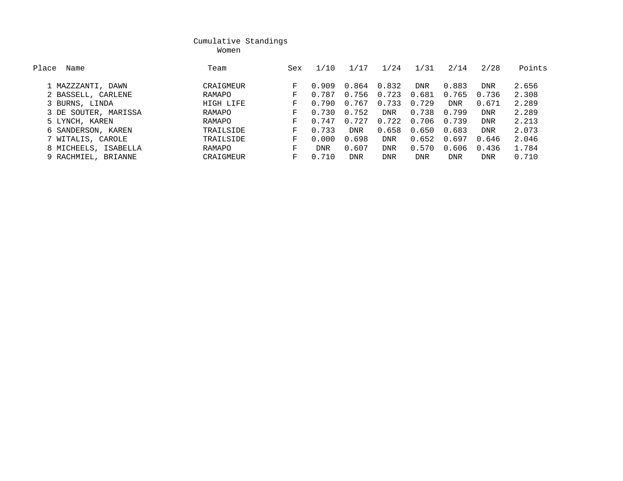women were also the control of the Momen women women were the control of the control of the control of the control of the control of the control of the control of the control of the control of the control of the control of

| Place<br>Name        | Team      | Sex | 1/10  | . / 1      | 1/24       | 1/31       | 2/14       | 2/28       | Points |
|----------------------|-----------|-----|-------|------------|------------|------------|------------|------------|--------|
| 1 MAZZZANTI, DAWN    | CRAIGMEUR | F.  | 0.909 | 0.864      | 0.832      | <b>DNR</b> | 0.883      | <b>DNR</b> | 2.656  |
| 2 BASSELL, CARLENE   | RAMAPO    | F.  | 0.787 | 0.756      | 0.723      | 0.681      | 0.765      | 0.736      | 2.308  |
| 3 BURNS, LINDA       | HIGH LIFE | F.  | 0.790 | 0.767      | 0.733      | 0.729      | <b>DNR</b> | 0.671      | 2.289  |
| 3 DE SOUTER, MARISSA | RAMAPO    | F.  | 0.730 | 0.752      | <b>DNR</b> | 0.738      | 0.799      | <b>DNR</b> | 2.289  |
| 5 LYNCH, KAREN       | RAMAPO    | F.  | 0.747 | 0.727      | 0.722      | 0.706      | 0.739      | <b>DNR</b> | 2.213  |
| 6 SANDERSON, KAREN   | TRAILSIDE | F.  | 0.733 | <b>DNR</b> | 0.658      | 0.650      | 0.683      | <b>DNR</b> | 2.073  |
| 7 WITALIS, CAROLE    | TRAILSIDE | F.  | 0.000 | 0.698      | <b>DNR</b> | 0.652      | 0.697      | 0.646      | 2.046  |
| 8 MICHEELS, ISABELLA | RAMAPO    | F.  | DNR   | 0.607      | <b>DNR</b> | 0.570      | 0.606      | 0.436      | 1.784  |
| 9 RACHMIEL, BRIANNE  | CRAIGMEUR | F.  | 0.710 | <b>DNR</b> | <b>DNR</b> | <b>DNR</b> | DNR        | <b>DNR</b> | 0.710  |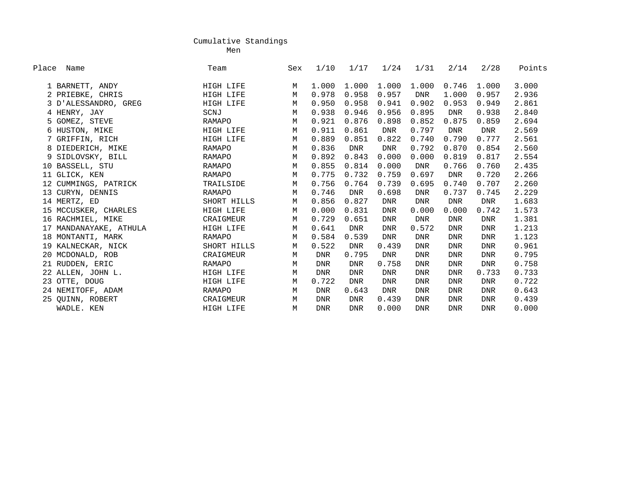ment of the control of the control of the control of the control of the control of the control of the control o

| Place Name |                        | Team        | Sex | 1/10       | 1/17       | 1/24       | 1/31       | 2/14       | 2/28       | Points |
|------------|------------------------|-------------|-----|------------|------------|------------|------------|------------|------------|--------|
|            | 1 BARNETT, ANDY        | HIGH LIFE   | М   | 1,000      | 1,000      | 1,000      | 1,000      | 0.746      | 1,000      | 3.000  |
|            | 2 PRIEBKE, CHRIS       | HIGH LIFE   | M   | 0.978      | 0.958      | 0.957      | DNR        | 1.000      | 0.957      | 2.936  |
|            | 3 D'ALESSANDRO, GREG   | HIGH LIFE   | M   | 0.950      | 0.958      | 0.941      | 0.902      | 0.953      | 0.949      | 2.861  |
|            | 4 HENRY, JAY           | SCNJ        | М   | 0.938      | 0.946      | 0.956      | 0.895      | DNR        | 0.938      | 2.840  |
|            | 5 GOMEZ, STEVE         | RAMAPO      | М   | 0.921      | 0.876      | 0.898      | 0.852      | 0.875      | 0.859      | 2.694  |
|            | 6 HUSTON, MIKE         | HIGH LIFE   | М   | 0.911      | 0.861      | DNR        | 0.797      | DNR        | <b>DNR</b> | 2.569  |
|            | 7 GRIFFIN, RICH        | HIGH LIFE   | M   | 0.889      | 0.851      | 0.822      | 0.740      | 0.790      | 0.777      | 2.561  |
|            | 8 DIEDERICH, MIKE      | RAMAPO      | М   | 0.836      | DNR        | <b>DNR</b> | 0.792      | 0.870      | 0.854      | 2.560  |
|            | 9 SIDLOVSKY, BILL      | RAMAPO      | M   | 0.892      | 0.843      | 0.000      | 0.000      | 0.819      | 0.817      | 2.554  |
| 10         | BASSELL, STU           | RAMAPO      | M   | 0.855      | 0.814      | 0.000      | DNR        | 0.766      | 0.760      | 2.435  |
|            | 11 GLICK, KEN          | RAMAPO      | М   | 0.775      | 0.732      | 0.759      | 0.697      | DNR        | 0.720      | 2.266  |
|            | 12 CUMMINGS, PATRICK   | TRAILSIDE   | M   | 0.756      | 0.764      | 0.739      | 0.695      | 0.740      | 0.707      | 2.260  |
|            | 13 CURYN, DENNIS       | RAMAPO      | M   | 0.746      | DNR        | 0.698      | <b>DNR</b> | 0.737      | 0.745      | 2.229  |
|            | 14 MERTZ, ED           | SHORT HILLS | M   | 0.856      | 0.827      | <b>DNR</b> | <b>DNR</b> | DNR        | DNR        | 1.683  |
|            | 15 MCCUSKER, CHARLES   | HIGH LIFE   | М   | 0.000      | 0.831      | DNR        | 0.000      | 0.000      | 0.742      | 1.573  |
|            | 16 RACHMIEL, MIKE      | CRAIGMEUR   | М   | 0.729      | 0.651      | <b>DNR</b> | <b>DNR</b> | <b>DNR</b> | <b>DNR</b> | 1.381  |
|            | 17 MANDANAYAKE, ATHULA | HIGH LIFE   | М   | 0.641      | DNR        | DNR        | 0.572      | <b>DNR</b> | DNR        | 1.213  |
|            | 18 MONTANTI, MARK      | RAMAPO      | M   | 0.584      | 0.539      | DNR        | <b>DNR</b> | <b>DNR</b> | <b>DNR</b> | 1.123  |
|            | 19 KALNECKAR, NICK     | SHORT HILLS | М   | 0.522      | DNR        | 0.439      | <b>DNR</b> | <b>DNR</b> | <b>DNR</b> | 0.961  |
|            | 20 MCDONALD, ROB       | CRAIGMEUR   | М   | DNR        | 0.795      | DNR        | DNR        | <b>DNR</b> | <b>DNR</b> | 0.795  |
|            | 21 RUDDEN, ERIC        | RAMAPO      | М   | <b>DNR</b> | <b>DNR</b> | 0.758      | <b>DNR</b> | <b>DNR</b> | <b>DNR</b> | 0.758  |
|            | 22 ALLEN, JOHN L.      | HIGH LIFE   | М   | <b>DNR</b> | <b>DNR</b> | <b>DNR</b> | <b>DNR</b> | <b>DNR</b> | 0.733      | 0.733  |
|            | 23 OTTE, DOUG          | HIGH LIFE   | М   | 0.722      | DNR        | <b>DNR</b> | <b>DNR</b> | <b>DNR</b> | <b>DNR</b> | 0.722  |
|            | 24 NEMITOFF, ADAM      | RAMAPO      | М   | DNR        | 0.643      | DNR        | <b>DNR</b> | <b>DNR</b> | <b>DNR</b> | 0.643  |
|            | 25 QUINN, ROBERT       | CRAIGMEUR   | М   | DNR        | <b>DNR</b> | 0.439      | <b>DNR</b> | <b>DNR</b> | <b>DNR</b> | 0.439  |
|            | WADLE. KEN             | HIGH LIFE   | М   | <b>DNR</b> | <b>DNR</b> | 0.000      | <b>DNR</b> | <b>DNR</b> | <b>DNR</b> | 0.000  |